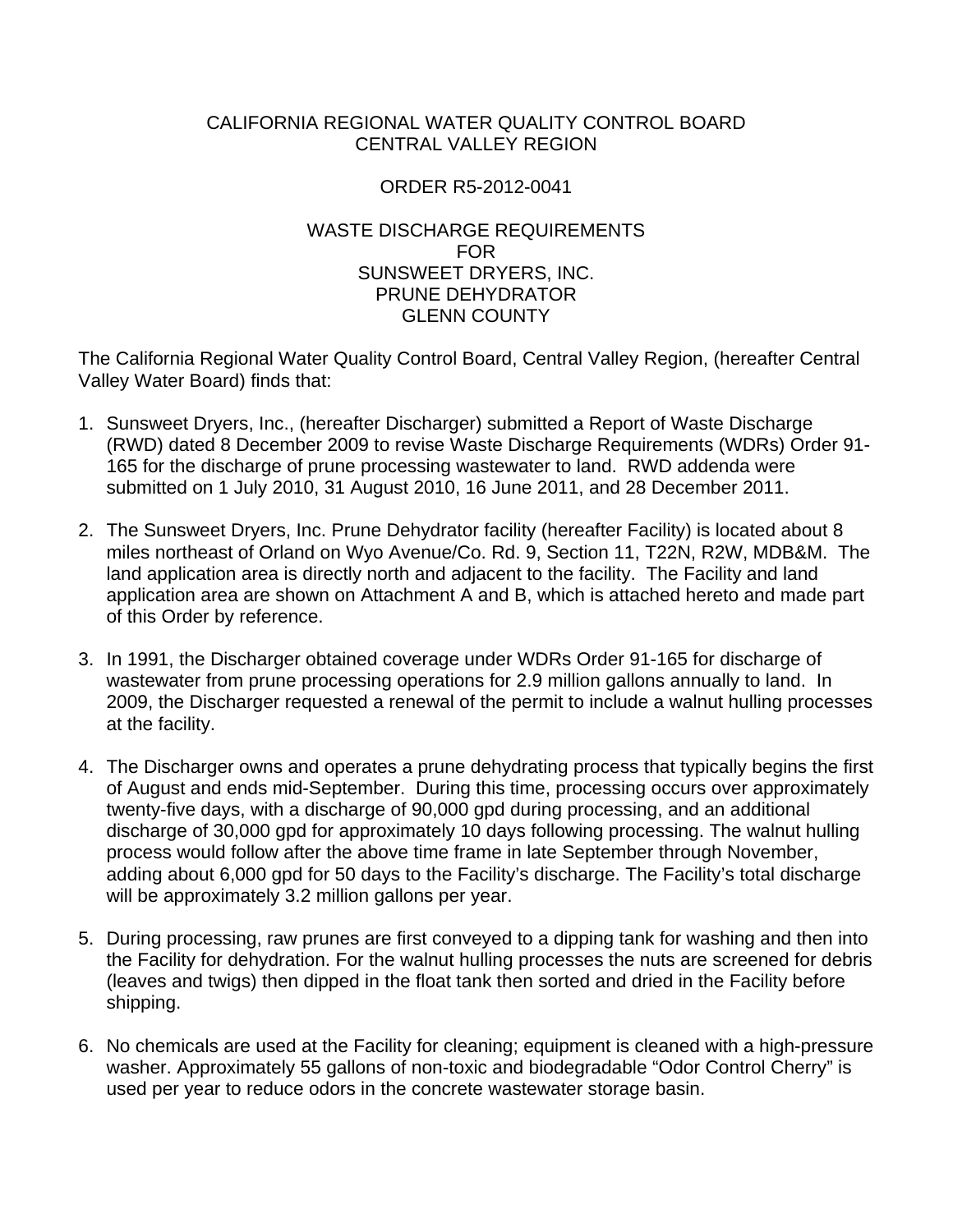### CALIFORNIA REGIONAL WATER QUALITY CONTROL BOARD CENTRAL VALLEY REGION

## ORDER R5-2012-0041

## WASTE DISCHARGE REQUIREMENTS FOR SUNSWEET DRYERS, INC. PRUNE DEHYDRATOR GLENN COUNTY

The California Regional Water Quality Control Board, Central Valley Region, (hereafter Central Valley Water Board) finds that:

- 1. Sunsweet Dryers, Inc., (hereafter Discharger) submitted a Report of Waste Discharge (RWD) dated 8 December 2009 to revise Waste Discharge Requirements (WDRs) Order 91- 165 for the discharge of prune processing wastewater to land. RWD addenda were submitted on 1 July 2010, 31 August 2010, 16 June 2011, and 28 December 2011.
- 2. The Sunsweet Dryers, Inc. Prune Dehydrator facility (hereafter Facility) is located about 8 miles northeast of Orland on Wyo Avenue/Co. Rd. 9, Section 11, T22N, R2W, MDB&M. The land application area is directly north and adjacent to the facility. The Facility and land application area are shown on Attachment A and B, which is attached hereto and made part of this Order by reference.
- 3. In 1991, the Discharger obtained coverage under WDRs Order 91-165 for discharge of wastewater from prune processing operations for 2.9 million gallons annually to land. In 2009, the Discharger requested a renewal of the permit to include a walnut hulling processes at the facility.
- 4. The Discharger owns and operates a prune dehydrating process that typically begins the first of August and ends mid-September. During this time, processing occurs over approximately twenty-five days, with a discharge of 90,000 gpd during processing, and an additional discharge of 30,000 gpd for approximately 10 days following processing. The walnut hulling process would follow after the above time frame in late September through November, adding about 6,000 gpd for 50 days to the Facility's discharge. The Facility's total discharge will be approximately 3.2 million gallons per year.
- 5. During processing, raw prunes are first conveyed to a dipping tank for washing and then into the Facility for dehydration. For the walnut hulling processes the nuts are screened for debris (leaves and twigs) then dipped in the float tank then sorted and dried in the Facility before shipping.
- 6. No chemicals are used at the Facility for cleaning; equipment is cleaned with a high-pressure washer. Approximately 55 gallons of non-toxic and biodegradable "Odor Control Cherry" is used per year to reduce odors in the concrete wastewater storage basin.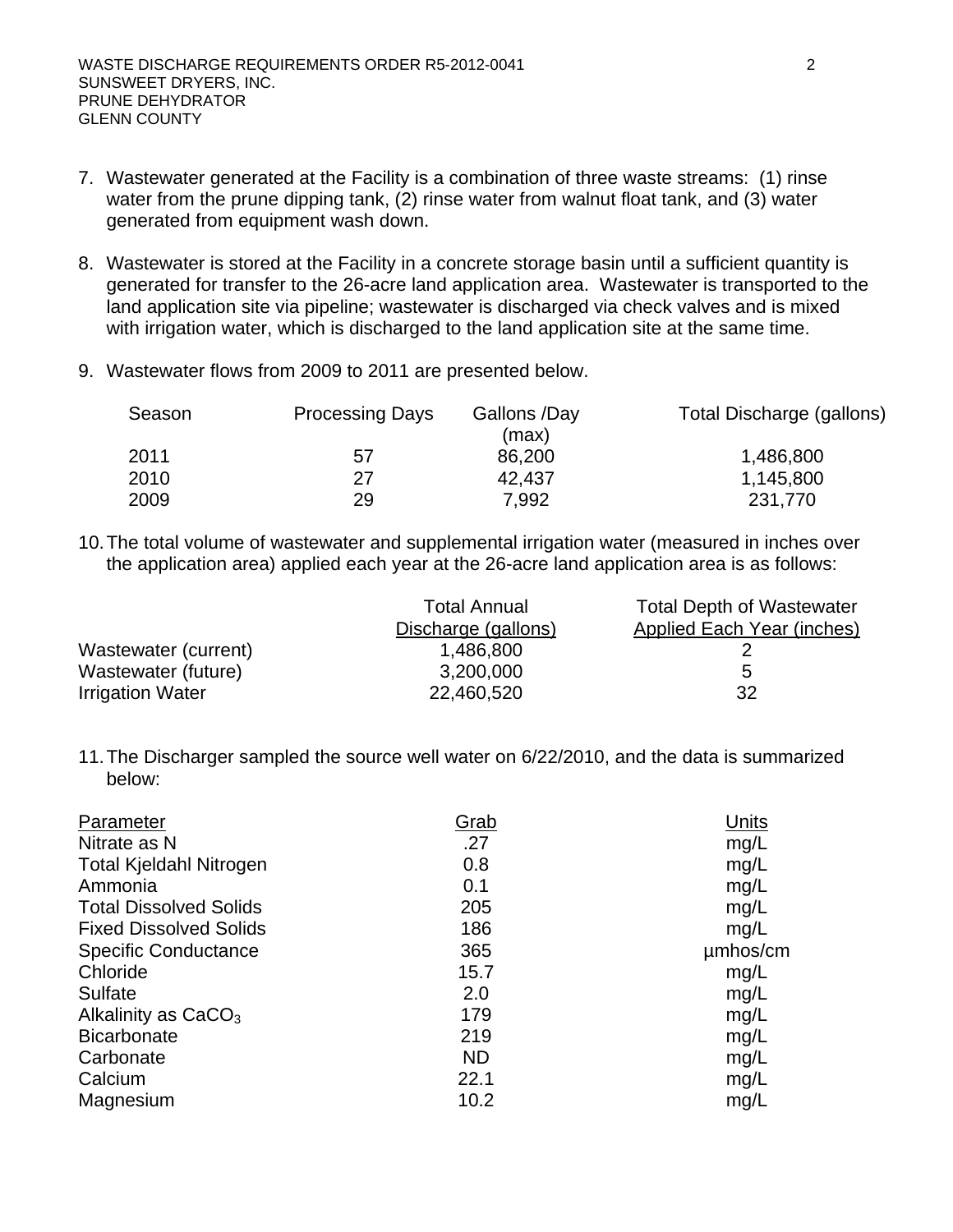- 7. Wastewater generated at the Facility is a combination of three waste streams: (1) rinse water from the prune dipping tank, (2) rinse water from walnut float tank, and (3) water generated from equipment wash down.
- 8. Wastewater is stored at the Facility in a concrete storage basin until a sufficient quantity is generated for transfer to the 26-acre land application area. Wastewater is transported to the land application site via pipeline; wastewater is discharged via check valves and is mixed with irrigation water, which is discharged to the land application site at the same time.
- 9. Wastewater flows from 2009 to 2011 are presented below.

| Season | <b>Processing Days</b> | Gallons /Day<br>(max) | Total Discharge (gallons) |
|--------|------------------------|-----------------------|---------------------------|
| 2011   | 57                     | 86,200                | 1,486,800                 |
| 2010   | 27                     | 42,437                | 1,145,800                 |
| 2009   | 29                     | 7,992                 | 231,770                   |

10. The total volume of wastewater and supplemental irrigation water (measured in inches over the application area) applied each year at the 26-acre land application area is as follows:

|                         | <b>Total Annual</b> | <b>Total Depth of Wastewater</b> |
|-------------------------|---------------------|----------------------------------|
|                         | Discharge (gallons) | Applied Each Year (inches)       |
| Wastewater (current)    | 1,486,800           |                                  |
| Wastewater (future)     | 3,200,000           | 5                                |
| <b>Irrigation Water</b> | 22,460,520          | 32                               |

11. The Discharger sampled the source well water on 6/22/2010, and the data is summarized below:

| Parameter                      | <u>Grab</u> | Units    |
|--------------------------------|-------------|----------|
| Nitrate as N                   | .27         | mg/L     |
| <b>Total Kjeldahl Nitrogen</b> | 0.8         | mg/L     |
| Ammonia                        | 0.1         | mg/L     |
| <b>Total Dissolved Solids</b>  | 205         | mg/L     |
| <b>Fixed Dissolved Solids</b>  | 186         | mg/L     |
| <b>Specific Conductance</b>    | 365         | umhos/cm |
| Chloride                       | 15.7        | mg/L     |
| Sulfate                        | 2.0         | mg/L     |
| Alkalinity as $CaCO3$          | 179         | mg/L     |
| <b>Bicarbonate</b>             | 219         | mg/L     |
| Carbonate                      | <b>ND</b>   | mg/L     |
| Calcium                        | 22.1        | mg/L     |
| Magnesium                      | 10.2        | mg/L     |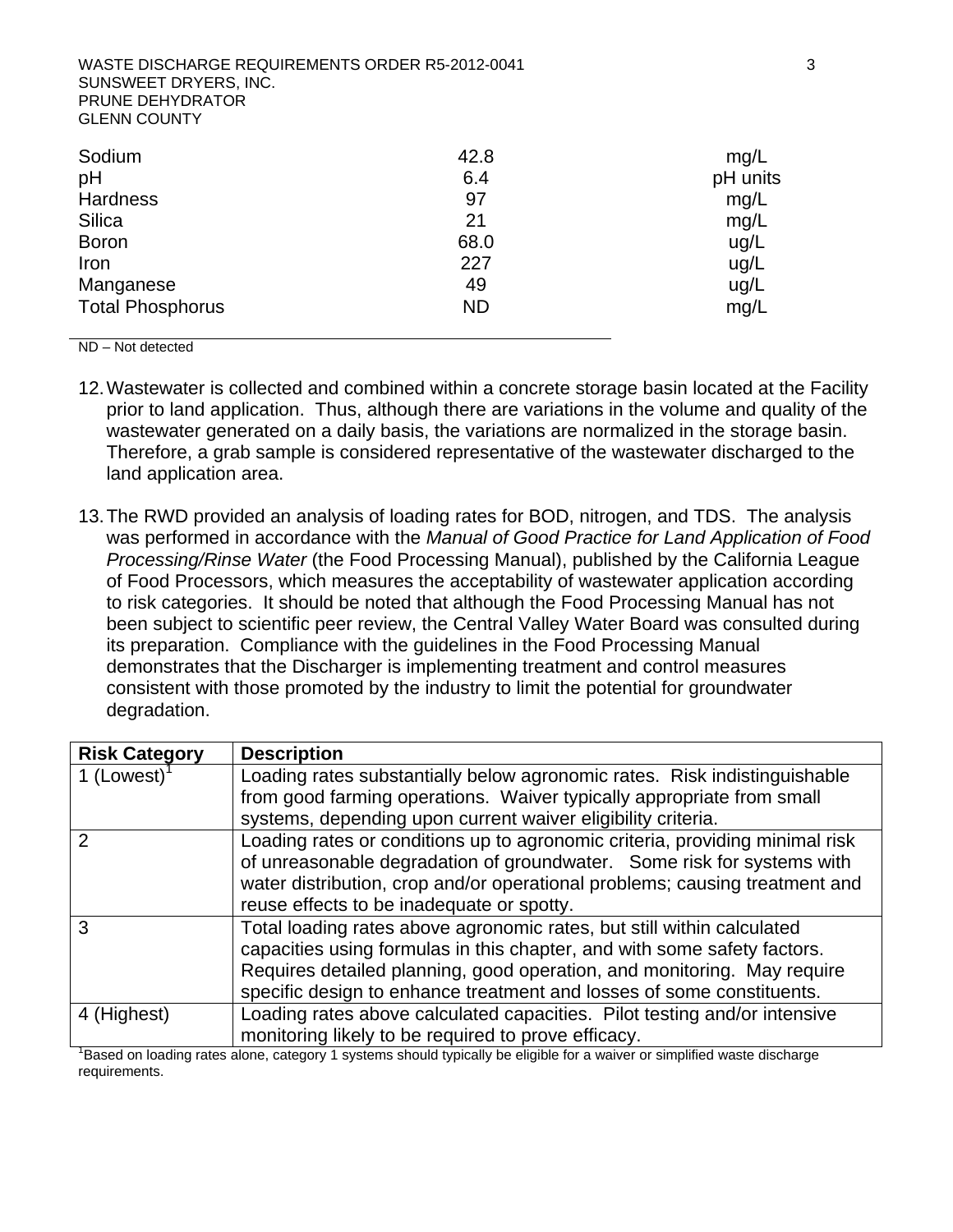WASTE DISCHARGE REQUIREMENTS ORDER R5-2012-0041 33 SUNSWEET DRYERS, INC. PRUNE DEHYDRATOR GLENN COUNTY

| Sodium                  | 42.8      | mg/L     |
|-------------------------|-----------|----------|
| pH                      | 6.4       | pH units |
| <b>Hardness</b>         | 97        | mg/L     |
| Silica                  | 21        | mg/L     |
| <b>Boron</b>            | 68.0      | ug/L     |
| Iron                    | 227       | ug/L     |
| Manganese               | 49        | ug/L     |
| <b>Total Phosphorus</b> | <b>ND</b> | mg/L     |

ND – Not detected

- 12. Wastewater is collected and combined within a concrete storage basin located at the Facility prior to land application. Thus, although there are variations in the volume and quality of the wastewater generated on a daily basis, the variations are normalized in the storage basin. Therefore, a grab sample is considered representative of the wastewater discharged to the land application area.
- 13. The RWD provided an analysis of loading rates for BOD, nitrogen, and TDS. The analysis was performed in accordance with the *Manual of Good Practice for Land Application of Food Processing/Rinse Water* (the Food Processing Manual), published by the California League of Food Processors, which measures the acceptability of wastewater application according to risk categories. It should be noted that although the Food Processing Manual has not been subject to scientific peer review, the Central Valley Water Board was consulted during its preparation. Compliance with the guidelines in the Food Processing Manual demonstrates that the Discharger is implementing treatment and control measures consistent with those promoted by the industry to limit the potential for groundwater degradation.

| <b>Risk Category</b> | <b>Description</b>                                                                                                       |
|----------------------|--------------------------------------------------------------------------------------------------------------------------|
| 1 (Lowest) $1$       | Loading rates substantially below agronomic rates. Risk indistinguishable                                                |
|                      | from good farming operations. Waiver typically appropriate from small                                                    |
|                      | systems, depending upon current waiver eligibility criteria.                                                             |
|                      | Loading rates or conditions up to agronomic criteria, providing minimal risk                                             |
|                      | of unreasonable degradation of groundwater. Some risk for systems with                                                   |
|                      | water distribution, crop and/or operational problems; causing treatment and                                              |
|                      | reuse effects to be inadequate or spotty.                                                                                |
| 3                    | Total loading rates above agronomic rates, but still within calculated                                                   |
|                      | capacities using formulas in this chapter, and with some safety factors.                                                 |
|                      | Requires detailed planning, good operation, and monitoring. May require                                                  |
|                      | specific design to enhance treatment and losses of some constituents.                                                    |
| 4 (Highest)          | Loading rates above calculated capacities. Pilot testing and/or intensive                                                |
|                      | monitoring likely to be required to prove efficacy.                                                                      |
|                      | Based on loading rates alone, category 1 systems should typically be eligible for a waiver or simplified waste discharge |

requirements.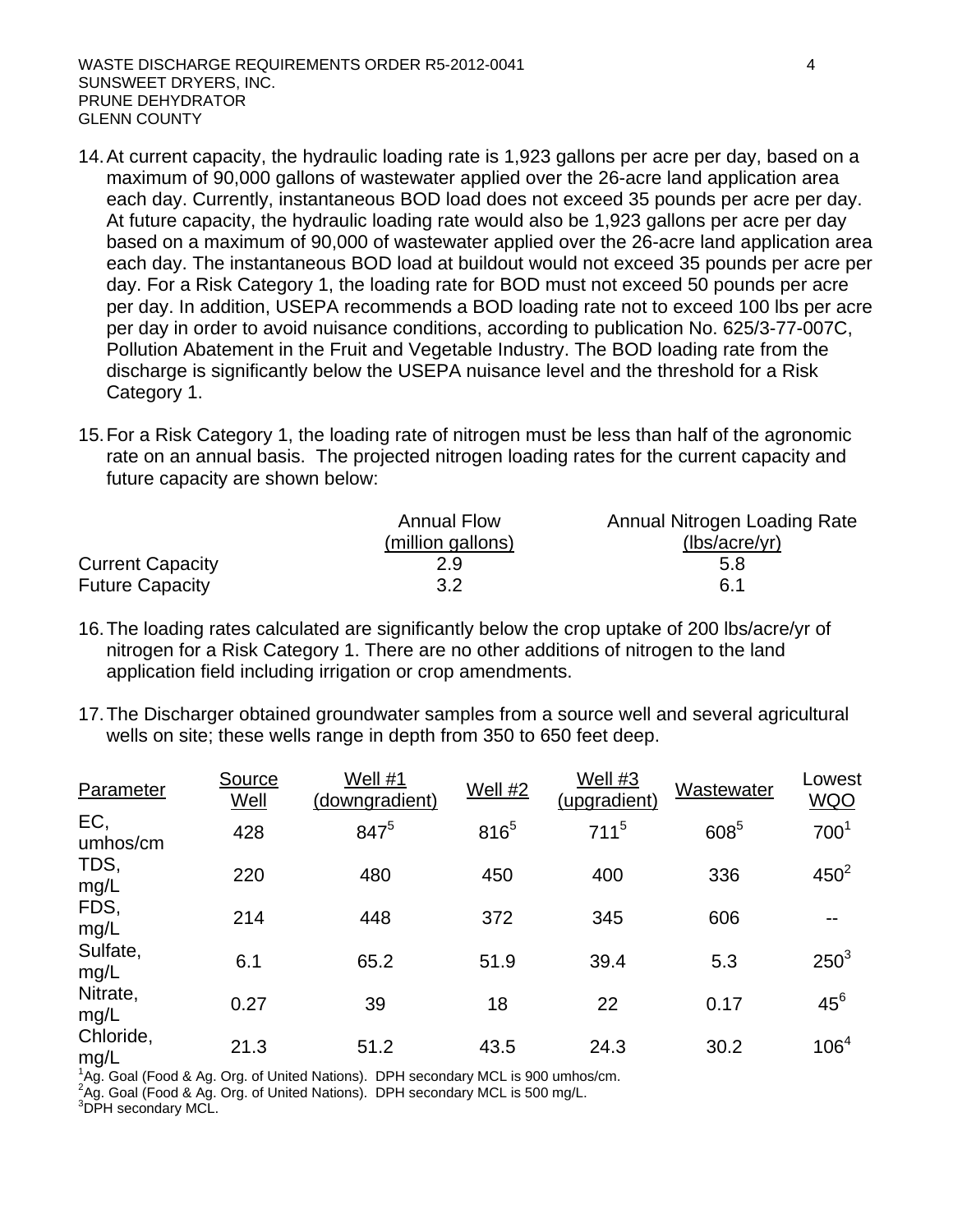- 14. At current capacity, the hydraulic loading rate is 1,923 gallons per acre per day, based on a maximum of 90,000 gallons of wastewater applied over the 26-acre land application area each day. Currently, instantaneous BOD load does not exceed 35 pounds per acre per day. At future capacity, the hydraulic loading rate would also be 1,923 gallons per acre per day based on a maximum of 90,000 of wastewater applied over the 26-acre land application area each day. The instantaneous BOD load at buildout would not exceed 35 pounds per acre per day. For a Risk Category 1, the loading rate for BOD must not exceed 50 pounds per acre per day. In addition, USEPA recommends a BOD loading rate not to exceed 100 lbs per acre per day in order to avoid nuisance conditions, according to publication No. 625/3-77-007C, Pollution Abatement in the Fruit and Vegetable Industry. The BOD loading rate from the discharge is significantly below the USEPA nuisance level and the threshold for a Risk Category 1.
- 15. For a Risk Category 1, the loading rate of nitrogen must be less than half of the agronomic rate on an annual basis. The projected nitrogen loading rates for the current capacity and future capacity are shown below:

|                         | <b>Annual Flow</b> | Annual Nitrogen Loading Rate |
|-------------------------|--------------------|------------------------------|
|                         | (million gallons)  | (lbs/acre/yr)                |
| <b>Current Capacity</b> | 2.9                | 5.8                          |
| <b>Future Capacity</b>  | 3.2                | 6.1                          |

- 16. The loading rates calculated are significantly below the crop uptake of 200 lbs/acre/yr of nitrogen for a Risk Category 1. There are no other additions of nitrogen to the land application field including irrigation or crop amendments.
- 17. The Discharger obtained groundwater samples from a source well and several agricultural wells on site; these wells range in depth from 350 to 650 feet deep.

| Parameter         | Source<br>Well | Well #1<br>(downgradient) | Well #2   | Well #3<br>(upgradient) | Wastewater | Lowest<br><b>WQO</b> |
|-------------------|----------------|---------------------------|-----------|-------------------------|------------|----------------------|
| EC,<br>umhos/cm   | 428            | 8475                      | $816^{5}$ | $711^5$                 | 6085       | 700 <sup>1</sup>     |
| TDS,<br>mg/L      | 220            | 480                       | 450       | 400                     | 336        | $450^2$              |
| FDS,<br>mg/L      | 214            | 448                       | 372       | 345                     | 606        | $- -$                |
| Sulfate,<br>mg/L  | 6.1            | 65.2                      | 51.9      | 39.4                    | 5.3        | $250^3$              |
| Nitrate,<br>mg/L  | 0.27           | 39                        | 18        | 22                      | 0.17       | $45^6$               |
| Chloride,<br>mg/L | 21.3           | 51.2                      | 43.5      | 24.3                    | 30.2       | 106 <sup>4</sup>     |

<sup>1</sup>Ag. Goal (Food & Ag. Org. of United Nations). DPH secondary MCL is 900 umhos/cm.

<sup>2</sup>Ag. Goal (Food & Ag. Org. of United Nations). DPH secondary MCL is 500 mg/L.<br><sup>3</sup>DPH secondary MCL.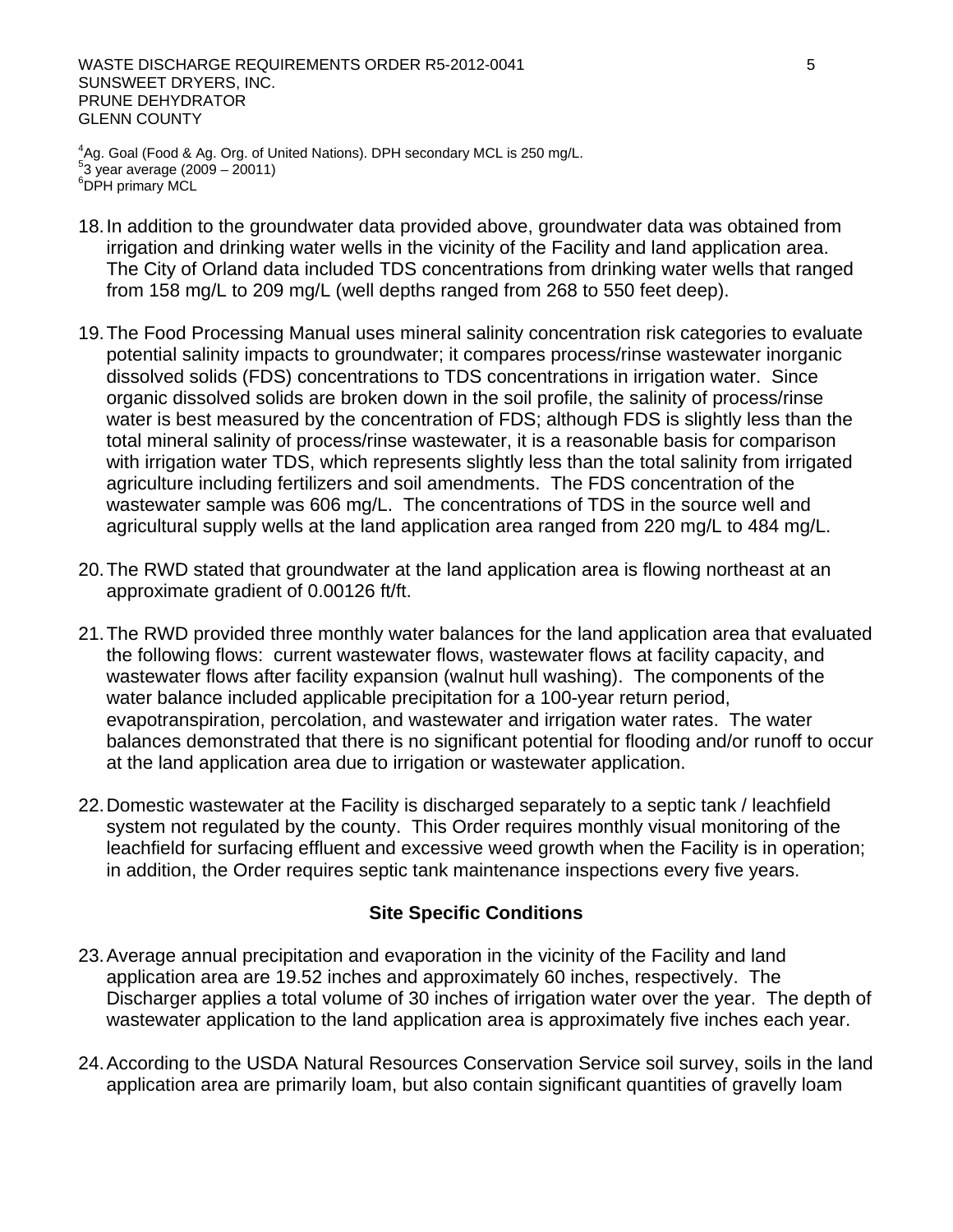WASTE DISCHARGE REQUIREMENTS ORDER R5-2012-0041 5 SUNSWEET DRYERS, INC. PRUNE DEHYDRATOR GLENN COUNTY

 $^{4}$ Ag. Goal (Food & Ag. Org. of United Nations). DPH secondary MCL is 250 mg/L.<br>53 year average (2000 - 20011) <sup>9</sup>3 year average (2009 – 20011)<br><sup>6</sup>DPH primary MCL

- 18. In addition to the groundwater data provided above, groundwater data was obtained from irrigation and drinking water wells in the vicinity of the Facility and land application area. The City of Orland data included TDS concentrations from drinking water wells that ranged from 158 mg/L to 209 mg/L (well depths ranged from 268 to 550 feet deep).
- 19. The Food Processing Manual uses mineral salinity concentration risk categories to evaluate potential salinity impacts to groundwater; it compares process/rinse wastewater inorganic dissolved solids (FDS) concentrations to TDS concentrations in irrigation water. Since organic dissolved solids are broken down in the soil profile, the salinity of process/rinse water is best measured by the concentration of FDS; although FDS is slightly less than the total mineral salinity of process/rinse wastewater, it is a reasonable basis for comparison with irrigation water TDS, which represents slightly less than the total salinity from irrigated agriculture including fertilizers and soil amendments. The FDS concentration of the wastewater sample was 606 mg/L. The concentrations of TDS in the source well and agricultural supply wells at the land application area ranged from 220 mg/L to 484 mg/L.
- 20. The RWD stated that groundwater at the land application area is flowing northeast at an approximate gradient of 0.00126 ft/ft.
- 21. The RWD provided three monthly water balances for the land application area that evaluated the following flows: current wastewater flows, wastewater flows at facility capacity, and wastewater flows after facility expansion (walnut hull washing). The components of the water balance included applicable precipitation for a 100-year return period, evapotranspiration, percolation, and wastewater and irrigation water rates. The water balances demonstrated that there is no significant potential for flooding and/or runoff to occur at the land application area due to irrigation or wastewater application.
- 22. Domestic wastewater at the Facility is discharged separately to a septic tank / leachfield system not regulated by the county. This Order requires monthly visual monitoring of the leachfield for surfacing effluent and excessive weed growth when the Facility is in operation; in addition, the Order requires septic tank maintenance inspections every five years.

### **Site Specific Conditions**

- 23. Average annual precipitation and evaporation in the vicinity of the Facility and land application area are 19.52 inches and approximately 60 inches, respectively. The Discharger applies a total volume of 30 inches of irrigation water over the year. The depth of wastewater application to the land application area is approximately five inches each year.
- 24. According to the USDA Natural Resources Conservation Service soil survey, soils in the land application area are primarily loam, but also contain significant quantities of gravelly loam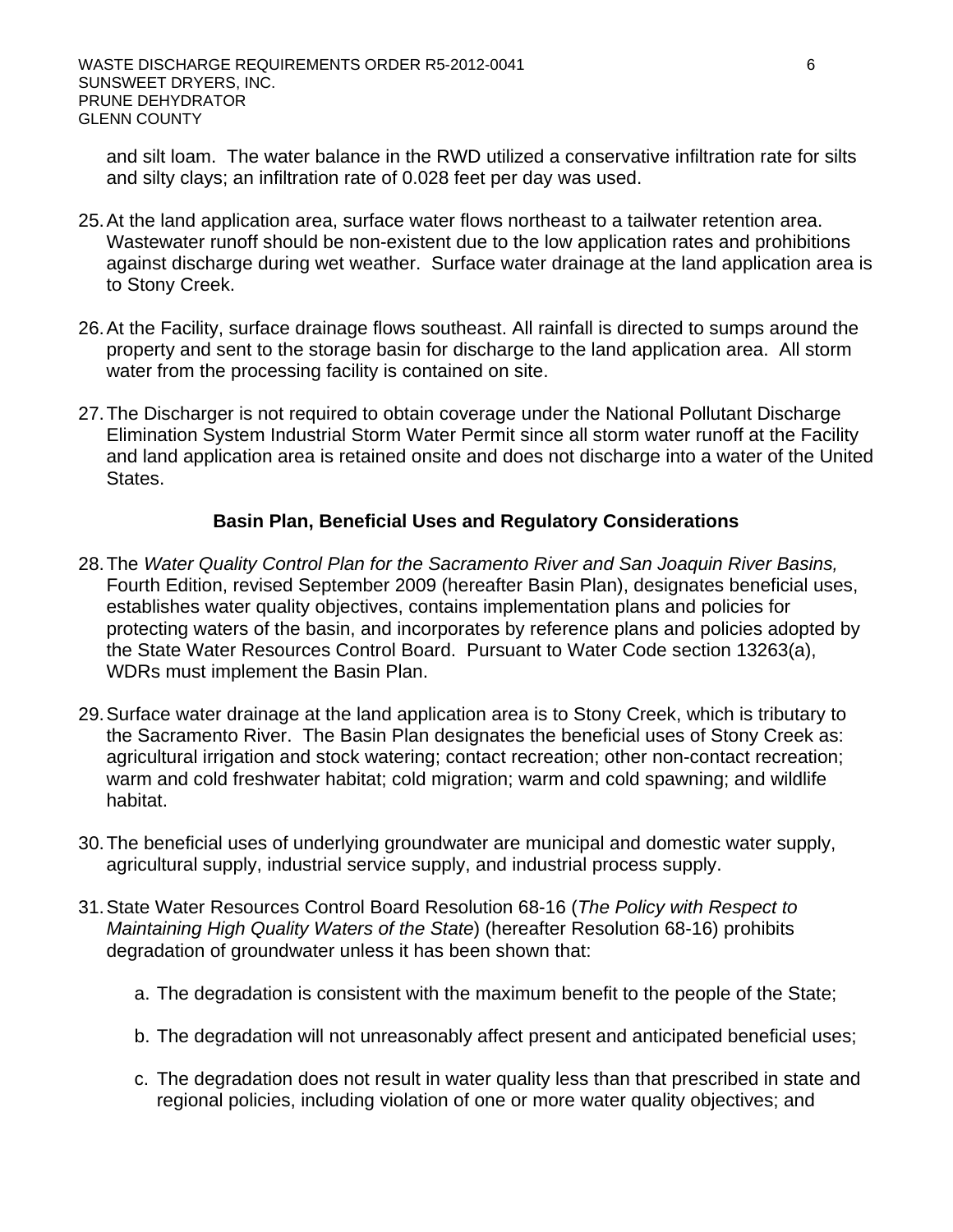and silt loam. The water balance in the RWD utilized a conservative infiltration rate for silts and silty clays; an infiltration rate of 0.028 feet per day was used.

- 25. At the land application area, surface water flows northeast to a tailwater retention area. Wastewater runoff should be non-existent due to the low application rates and prohibitions against discharge during wet weather. Surface water drainage at the land application area is to Stony Creek.
- 26. At the Facility, surface drainage flows southeast. All rainfall is directed to sumps around the property and sent to the storage basin for discharge to the land application area. All storm water from the processing facility is contained on site.
- 27. The Discharger is not required to obtain coverage under the National Pollutant Discharge Elimination System Industrial Storm Water Permit since all storm water runoff at the Facility and land application area is retained onsite and does not discharge into a water of the United States.

### **Basin Plan, Beneficial Uses and Regulatory Considerations**

- 28. The *Water Quality Control Plan for the Sacramento River and San Joaquin River Basins,* Fourth Edition, revised September 2009 (hereafter Basin Plan), designates beneficial uses, establishes water quality objectives, contains implementation plans and policies for protecting waters of the basin, and incorporates by reference plans and policies adopted by the State Water Resources Control Board. Pursuant to Water Code section 13263(a), WDRs must implement the Basin Plan.
- 29. Surface water drainage at the land application area is to Stony Creek, which is tributary to the Sacramento River. The Basin Plan designates the beneficial uses of Stony Creek as: agricultural irrigation and stock watering; contact recreation; other non-contact recreation; warm and cold freshwater habitat; cold migration; warm and cold spawning; and wildlife habitat.
- 30. The beneficial uses of underlying groundwater are municipal and domestic water supply, agricultural supply, industrial service supply, and industrial process supply.
- 31. State Water Resources Control Board Resolution 68-16 (*The Policy with Respect to Maintaining High Quality Waters of the State*) (hereafter Resolution 68-16) prohibits degradation of groundwater unless it has been shown that:
	- a. The degradation is consistent with the maximum benefit to the people of the State;
	- b. The degradation will not unreasonably affect present and anticipated beneficial uses;
	- c. The degradation does not result in water quality less than that prescribed in state and regional policies, including violation of one or more water quality objectives; and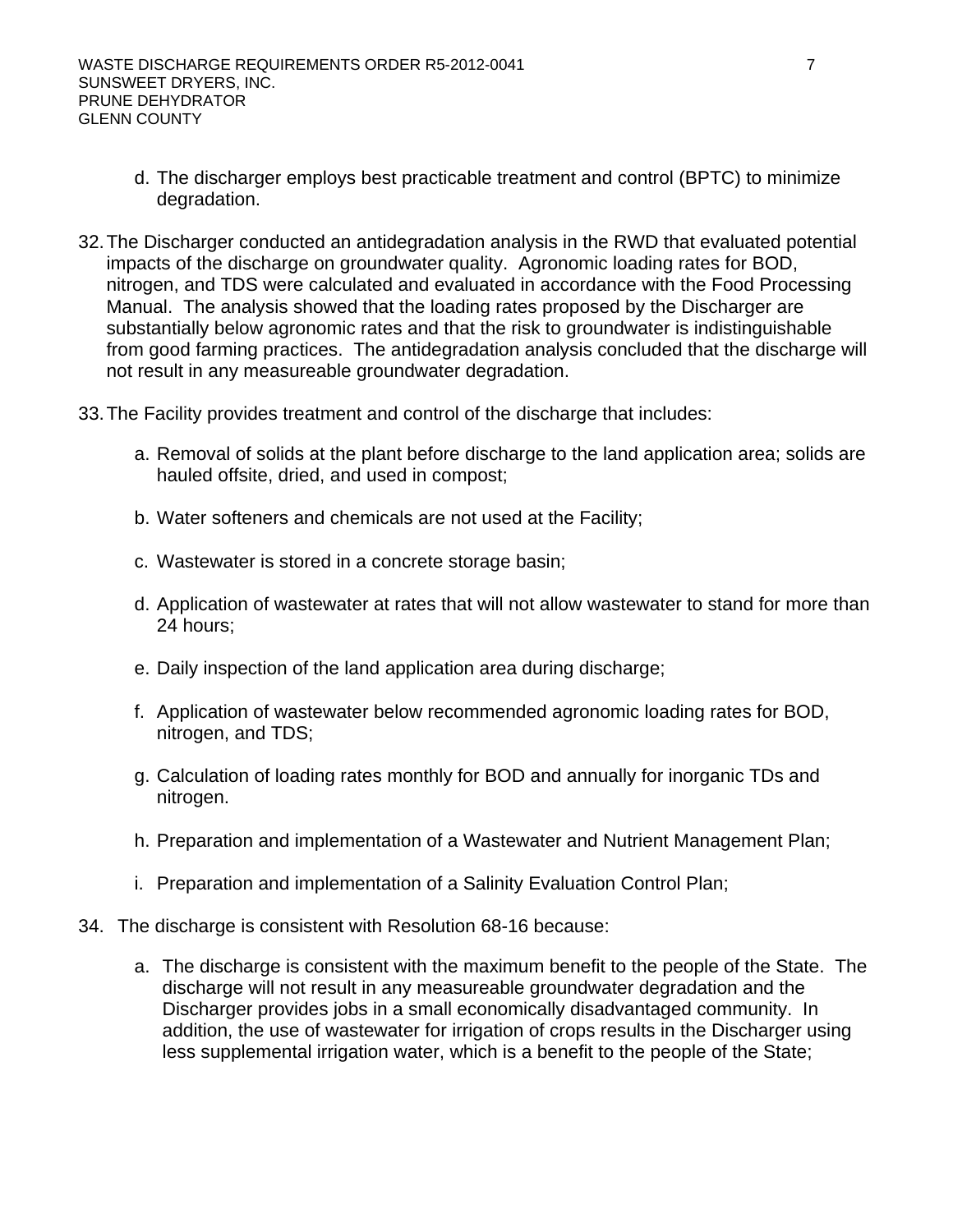- d. The discharger employs best practicable treatment and control (BPTC) to minimize degradation.
- 32. The Discharger conducted an antidegradation analysis in the RWD that evaluated potential impacts of the discharge on groundwater quality. Agronomic loading rates for BOD, nitrogen, and TDS were calculated and evaluated in accordance with the Food Processing Manual. The analysis showed that the loading rates proposed by the Discharger are substantially below agronomic rates and that the risk to groundwater is indistinguishable from good farming practices. The antidegradation analysis concluded that the discharge will not result in any measureable groundwater degradation.
- 33. The Facility provides treatment and control of the discharge that includes:
	- a. Removal of solids at the plant before discharge to the land application area; solids are hauled offsite, dried, and used in compost;
	- b. Water softeners and chemicals are not used at the Facility;
	- c. Wastewater is stored in a concrete storage basin;
	- d. Application of wastewater at rates that will not allow wastewater to stand for more than 24 hours;
	- e. Daily inspection of the land application area during discharge;
	- f. Application of wastewater below recommended agronomic loading rates for BOD, nitrogen, and TDS;
	- g. Calculation of loading rates monthly for BOD and annually for inorganic TDs and nitrogen.
	- h. Preparation and implementation of a Wastewater and Nutrient Management Plan;
	- i. Preparation and implementation of a Salinity Evaluation Control Plan;
- 34. The discharge is consistent with Resolution 68-16 because:
	- a. The discharge is consistent with the maximum benefit to the people of the State. The discharge will not result in any measureable groundwater degradation and the Discharger provides jobs in a small economically disadvantaged community. In addition, the use of wastewater for irrigation of crops results in the Discharger using less supplemental irrigation water, which is a benefit to the people of the State;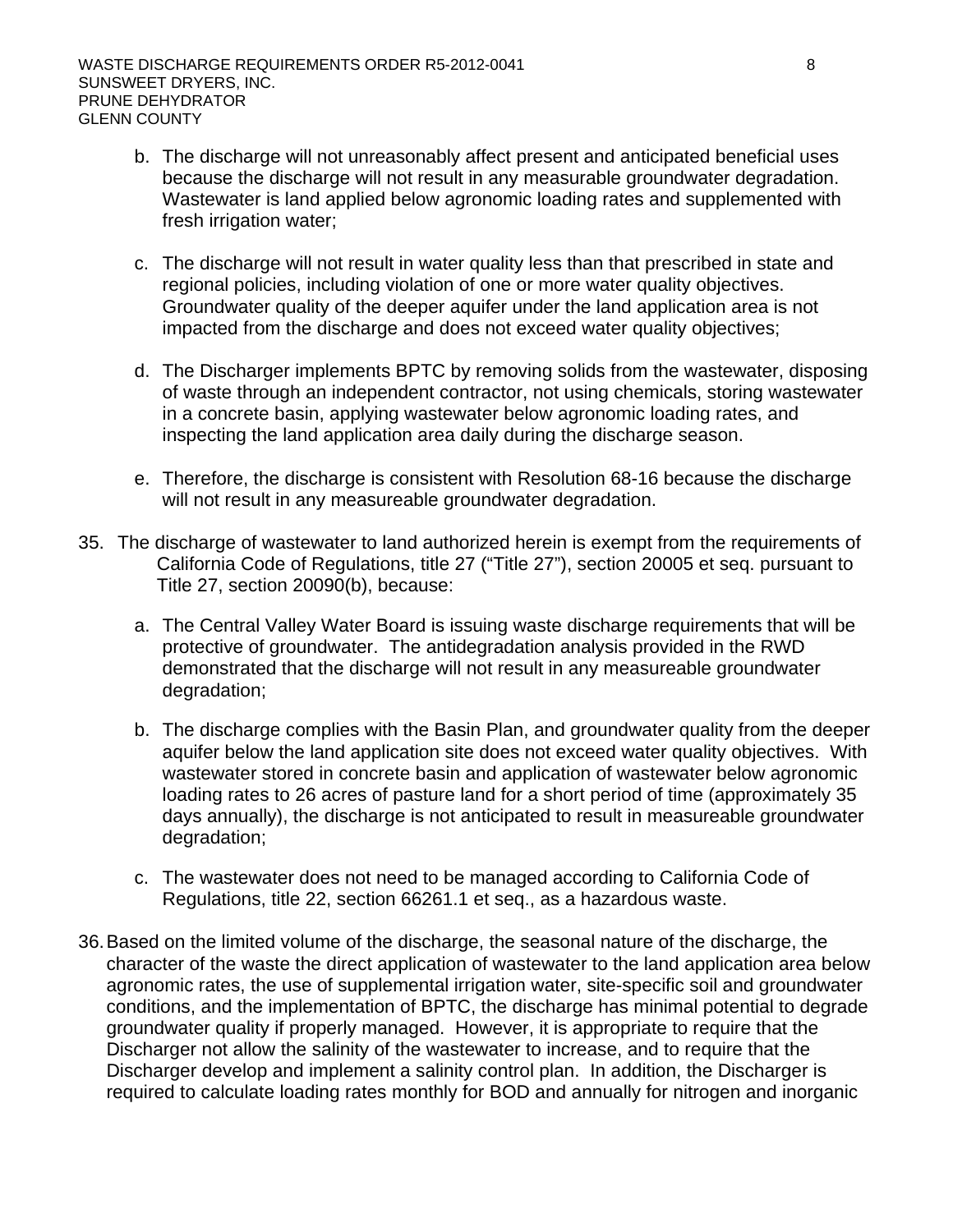- b. The discharge will not unreasonably affect present and anticipated beneficial uses because the discharge will not result in any measurable groundwater degradation. Wastewater is land applied below agronomic loading rates and supplemented with fresh irrigation water;
- c. The discharge will not result in water quality less than that prescribed in state and regional policies, including violation of one or more water quality objectives. Groundwater quality of the deeper aquifer under the land application area is not impacted from the discharge and does not exceed water quality objectives;
- d. The Discharger implements BPTC by removing solids from the wastewater, disposing of waste through an independent contractor, not using chemicals, storing wastewater in a concrete basin, applying wastewater below agronomic loading rates, and inspecting the land application area daily during the discharge season.
- e. Therefore, the discharge is consistent with Resolution 68-16 because the discharge will not result in any measureable groundwater degradation.
- 35. The discharge of wastewater to land authorized herein is exempt from the requirements of California Code of Regulations, title 27 ("Title 27"), section 20005 et seq. pursuant to Title 27, section 20090(b), because:
	- a. The Central Valley Water Board is issuing waste discharge requirements that will be protective of groundwater. The antidegradation analysis provided in the RWD demonstrated that the discharge will not result in any measureable groundwater degradation;
	- b. The discharge complies with the Basin Plan, and groundwater quality from the deeper aquifer below the land application site does not exceed water quality objectives. With wastewater stored in concrete basin and application of wastewater below agronomic loading rates to 26 acres of pasture land for a short period of time (approximately 35 days annually), the discharge is not anticipated to result in measureable groundwater degradation;
	- c. The wastewater does not need to be managed according to California Code of Regulations, title 22, section 66261.1 et seq., as a hazardous waste.
- 36. Based on the limited volume of the discharge, the seasonal nature of the discharge, the character of the waste the direct application of wastewater to the land application area below agronomic rates, the use of supplemental irrigation water, site-specific soil and groundwater conditions, and the implementation of BPTC, the discharge has minimal potential to degrade groundwater quality if properly managed. However, it is appropriate to require that the Discharger not allow the salinity of the wastewater to increase, and to require that the Discharger develop and implement a salinity control plan. In addition, the Discharger is required to calculate loading rates monthly for BOD and annually for nitrogen and inorganic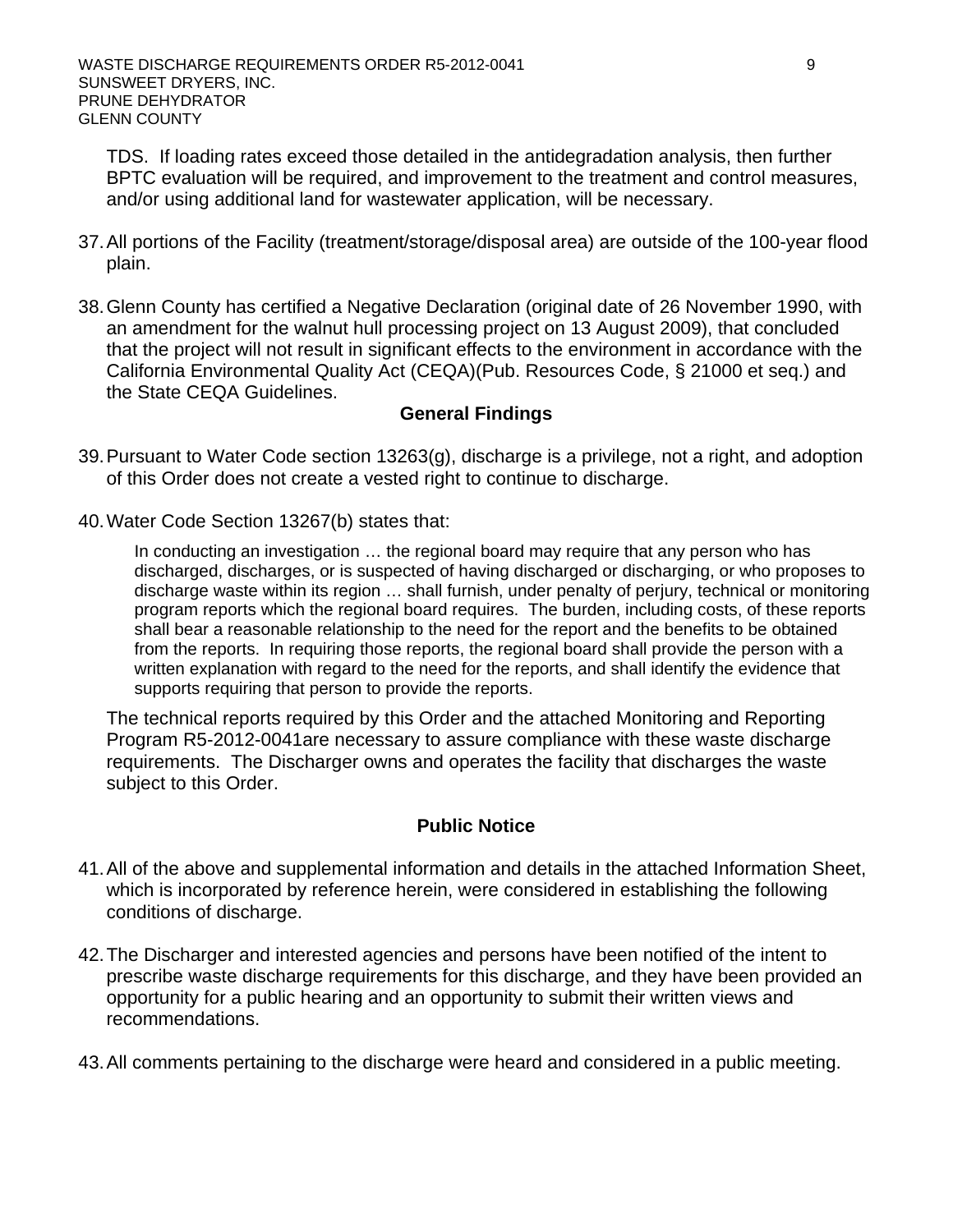TDS. If loading rates exceed those detailed in the antidegradation analysis, then further BPTC evaluation will be required, and improvement to the treatment and control measures, and/or using additional land for wastewater application, will be necessary.

- 37. All portions of the Facility (treatment/storage/disposal area) are outside of the 100-year flood plain.
- 38. Glenn County has certified a Negative Declaration (original date of 26 November 1990, with an amendment for the walnut hull processing project on 13 August 2009), that concluded that the project will not result in significant effects to the environment in accordance with the California Environmental Quality Act (CEQA)(Pub. Resources Code, § 21000 et seq.) and the State CEQA Guidelines.

#### **General Findings**

- 39. Pursuant to Water Code section 13263(g), discharge is a privilege, not a right, and adoption of this Order does not create a vested right to continue to discharge.
- 40. Water Code Section 13267(b) states that:

In conducting an investigation … the regional board may require that any person who has discharged, discharges, or is suspected of having discharged or discharging, or who proposes to discharge waste within its region … shall furnish, under penalty of perjury, technical or monitoring program reports which the regional board requires. The burden, including costs, of these reports shall bear a reasonable relationship to the need for the report and the benefits to be obtained from the reports. In requiring those reports, the regional board shall provide the person with a written explanation with regard to the need for the reports, and shall identify the evidence that supports requiring that person to provide the reports.

The technical reports required by this Order and the attached Monitoring and Reporting Program R5-2012-0041are necessary to assure compliance with these waste discharge requirements. The Discharger owns and operates the facility that discharges the waste subject to this Order.

#### **Public Notice**

- 41. All of the above and supplemental information and details in the attached Information Sheet, which is incorporated by reference herein, were considered in establishing the following conditions of discharge.
- 42. The Discharger and interested agencies and persons have been notified of the intent to prescribe waste discharge requirements for this discharge, and they have been provided an opportunity for a public hearing and an opportunity to submit their written views and recommendations.
- 43. All comments pertaining to the discharge were heard and considered in a public meeting.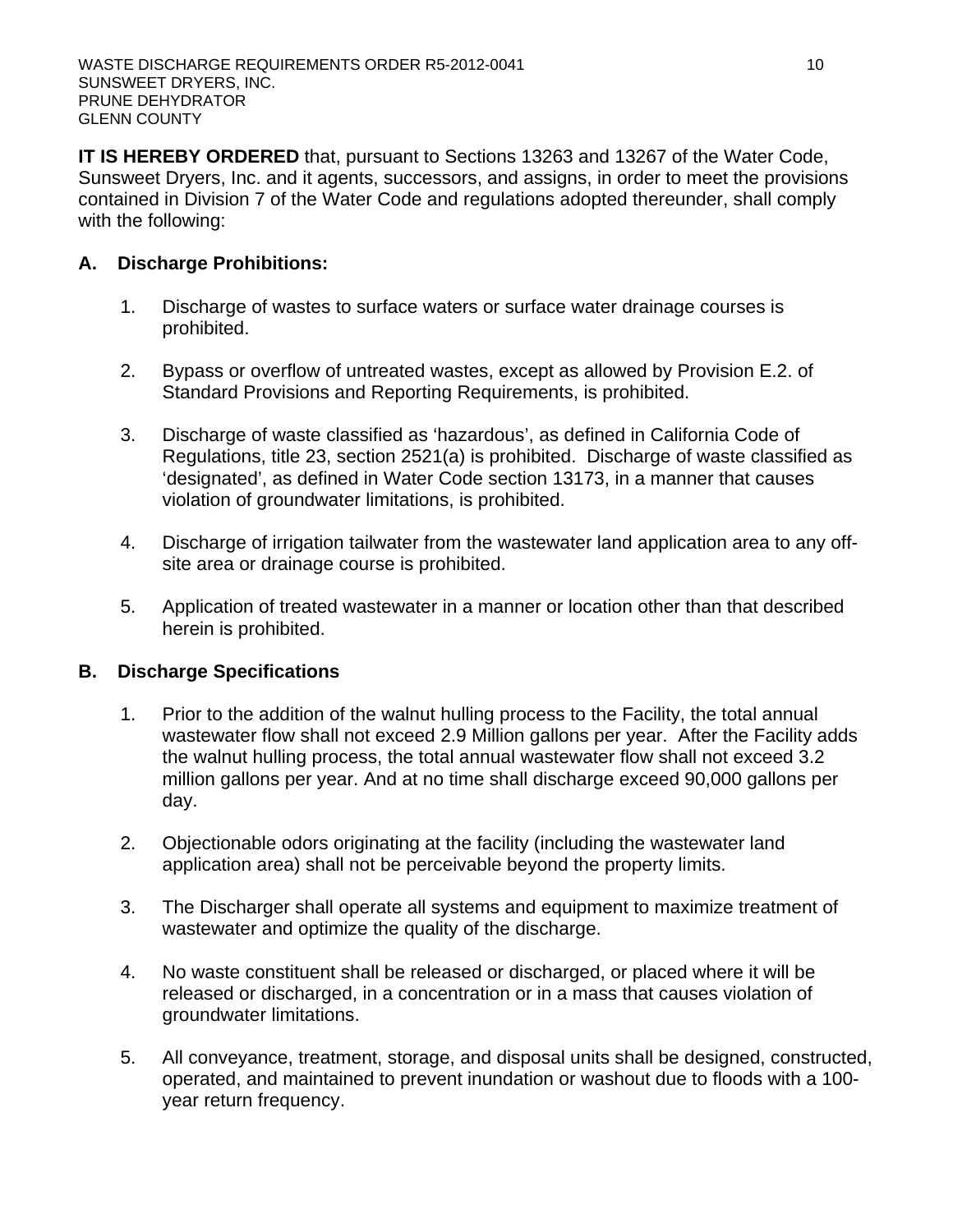**IT IS HEREBY ORDERED** that, pursuant to Sections 13263 and 13267 of the Water Code, Sunsweet Dryers, Inc. and it agents, successors, and assigns, in order to meet the provisions contained in Division 7 of the Water Code and regulations adopted thereunder, shall comply with the following:

# **A. Discharge Prohibitions:**

- 1. Discharge of wastes to surface waters or surface water drainage courses is prohibited.
- 2. Bypass or overflow of untreated wastes, except as allowed by Provision E.2. of Standard Provisions and Reporting Requirements, is prohibited.
- 3. Discharge of waste classified as 'hazardous', as defined in California Code of Regulations, title 23, section 2521(a) is prohibited. Discharge of waste classified as 'designated', as defined in Water Code section 13173, in a manner that causes violation of groundwater limitations, is prohibited.
- 4. Discharge of irrigation tailwater from the wastewater land application area to any offsite area or drainage course is prohibited.
- 5. Application of treated wastewater in a manner or location other than that described herein is prohibited.

### **B. Discharge Specifications**

- 1. Prior to the addition of the walnut hulling process to the Facility, the total annual wastewater flow shall not exceed 2.9 Million gallons per year. After the Facility adds the walnut hulling process, the total annual wastewater flow shall not exceed 3.2 million gallons per year. And at no time shall discharge exceed 90,000 gallons per day.
- 2. Objectionable odors originating at the facility (including the wastewater land application area) shall not be perceivable beyond the property limits.
- 3. The Discharger shall operate all systems and equipment to maximize treatment of wastewater and optimize the quality of the discharge.
- 4. No waste constituent shall be released or discharged, or placed where it will be released or discharged, in a concentration or in a mass that causes violation of groundwater limitations.
- 5. All conveyance, treatment, storage, and disposal units shall be designed, constructed, operated, and maintained to prevent inundation or washout due to floods with a 100 year return frequency.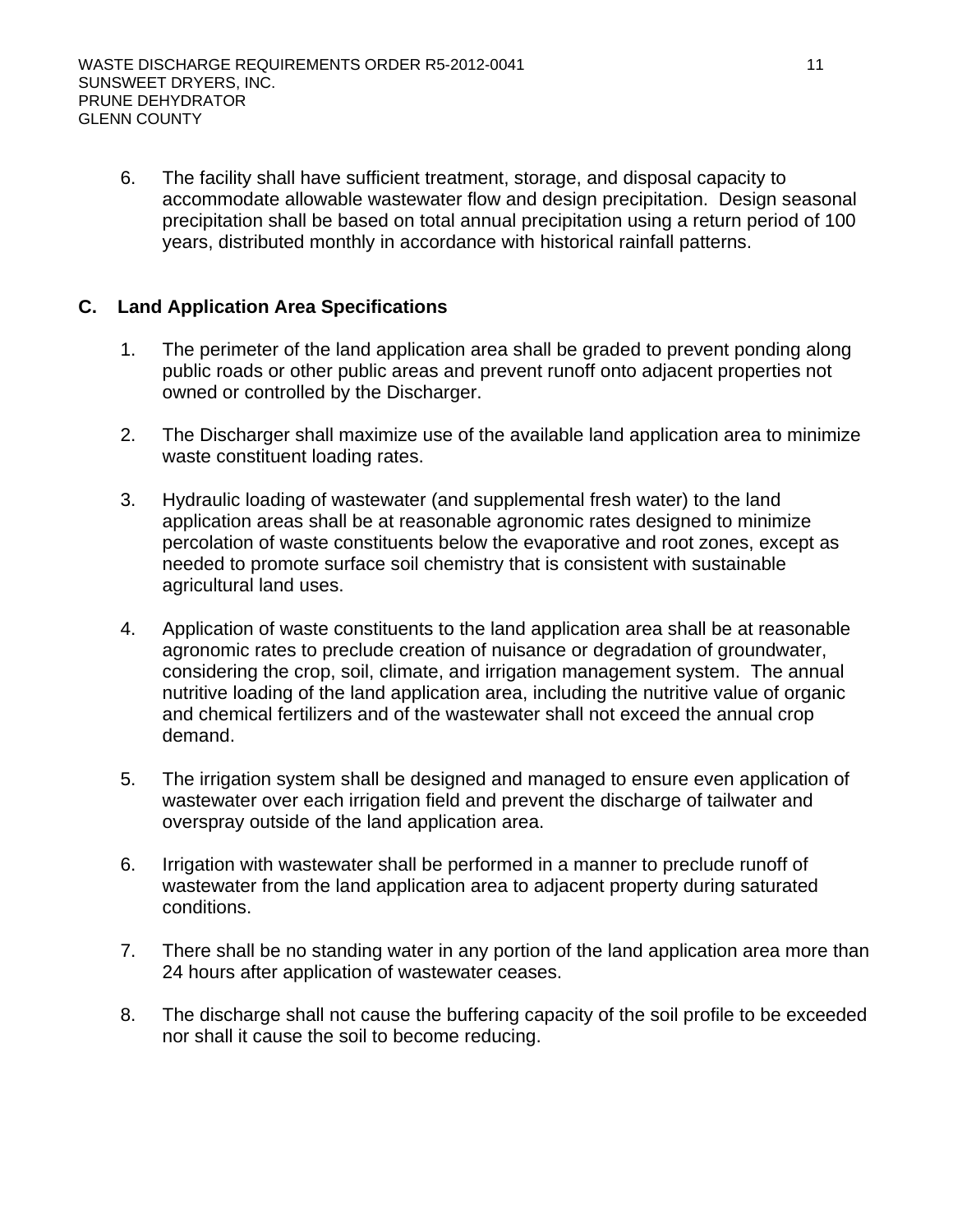6. The facility shall have sufficient treatment, storage, and disposal capacity to accommodate allowable wastewater flow and design precipitation. Design seasonal precipitation shall be based on total annual precipitation using a return period of 100 years, distributed monthly in accordance with historical rainfall patterns.

# **C. Land Application Area Specifications**

- 1. The perimeter of the land application area shall be graded to prevent ponding along public roads or other public areas and prevent runoff onto adjacent properties not owned or controlled by the Discharger.
- 2. The Discharger shall maximize use of the available land application area to minimize waste constituent loading rates.
- 3. Hydraulic loading of wastewater (and supplemental fresh water) to the land application areas shall be at reasonable agronomic rates designed to minimize percolation of waste constituents below the evaporative and root zones, except as needed to promote surface soil chemistry that is consistent with sustainable agricultural land uses.
- 4. Application of waste constituents to the land application area shall be at reasonable agronomic rates to preclude creation of nuisance or degradation of groundwater, considering the crop, soil, climate, and irrigation management system. The annual nutritive loading of the land application area, including the nutritive value of organic and chemical fertilizers and of the wastewater shall not exceed the annual crop demand.
- 5. The irrigation system shall be designed and managed to ensure even application of wastewater over each irrigation field and prevent the discharge of tailwater and overspray outside of the land application area.
- 6. Irrigation with wastewater shall be performed in a manner to preclude runoff of wastewater from the land application area to adjacent property during saturated conditions.
- 7. There shall be no standing water in any portion of the land application area more than 24 hours after application of wastewater ceases.
- 8. The discharge shall not cause the buffering capacity of the soil profile to be exceeded nor shall it cause the soil to become reducing.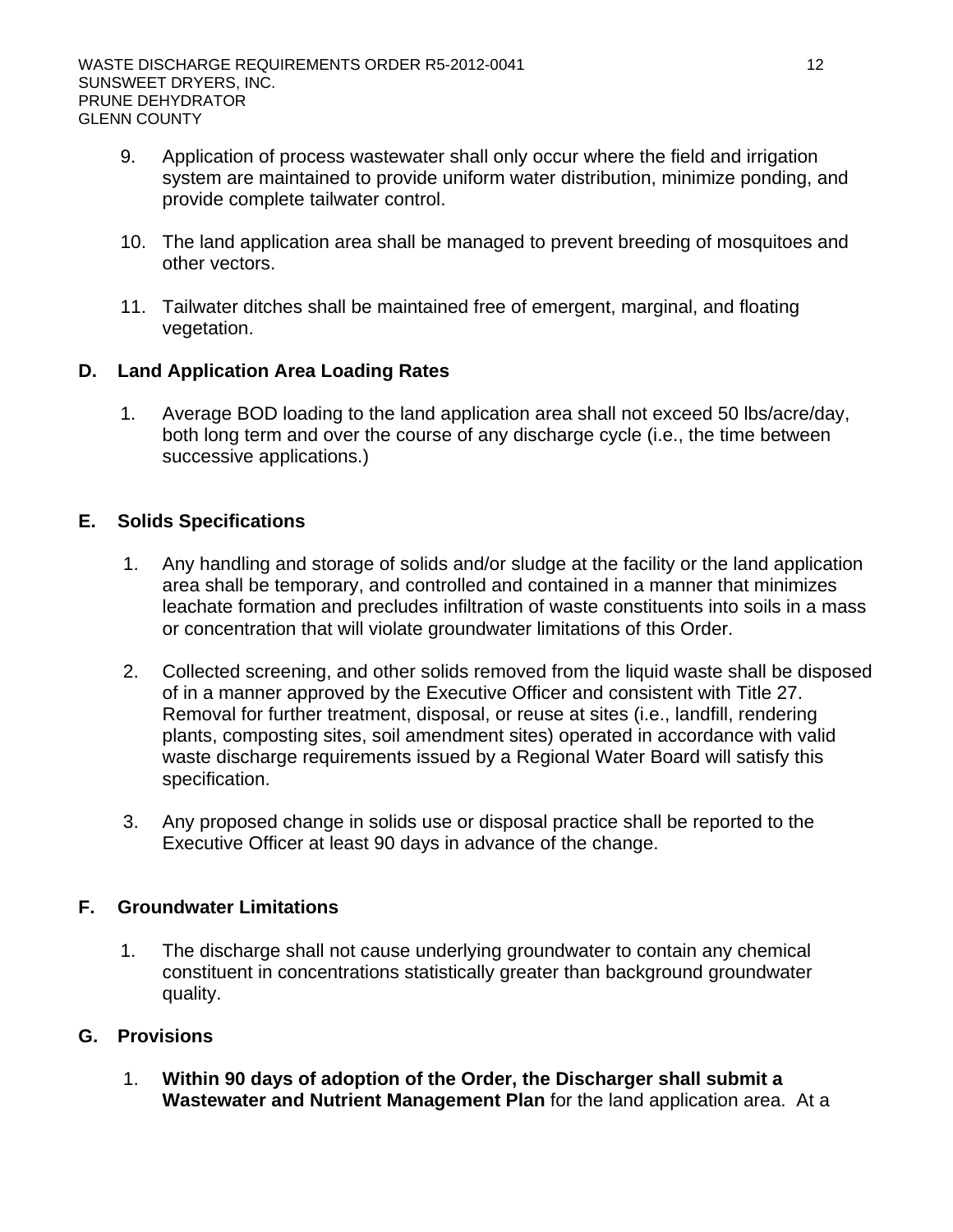- 9. Application of process wastewater shall only occur where the field and irrigation system are maintained to provide uniform water distribution, minimize ponding, and provide complete tailwater control.
- 10. The land application area shall be managed to prevent breeding of mosquitoes and other vectors.
- 11. Tailwater ditches shall be maintained free of emergent, marginal, and floating vegetation.

# **D. Land Application Area Loading Rates**

1. Average BOD loading to the land application area shall not exceed 50 lbs/acre/day, both long term and over the course of any discharge cycle (i.e., the time between successive applications.)

# **E. Solids Specifications**

- 1. Any handling and storage of solids and/or sludge at the facility or the land application area shall be temporary, and controlled and contained in a manner that minimizes leachate formation and precludes infiltration of waste constituents into soils in a mass or concentration that will violate groundwater limitations of this Order.
- 2. Collected screening, and other solids removed from the liquid waste shall be disposed of in a manner approved by the Executive Officer and consistent with Title 27. Removal for further treatment, disposal, or reuse at sites (i.e., landfill, rendering plants, composting sites, soil amendment sites) operated in accordance with valid waste discharge requirements issued by a Regional Water Board will satisfy this specification.
- 3. Any proposed change in solids use or disposal practice shall be reported to the Executive Officer at least 90 days in advance of the change.

# **F. Groundwater Limitations**

1. The discharge shall not cause underlying groundwater to contain any chemical constituent in concentrations statistically greater than background groundwater quality.

### **G. Provisions**

1. **Within 90 days of adoption of the Order, the Discharger shall submit a Wastewater and Nutrient Management Plan** for the land application area. At a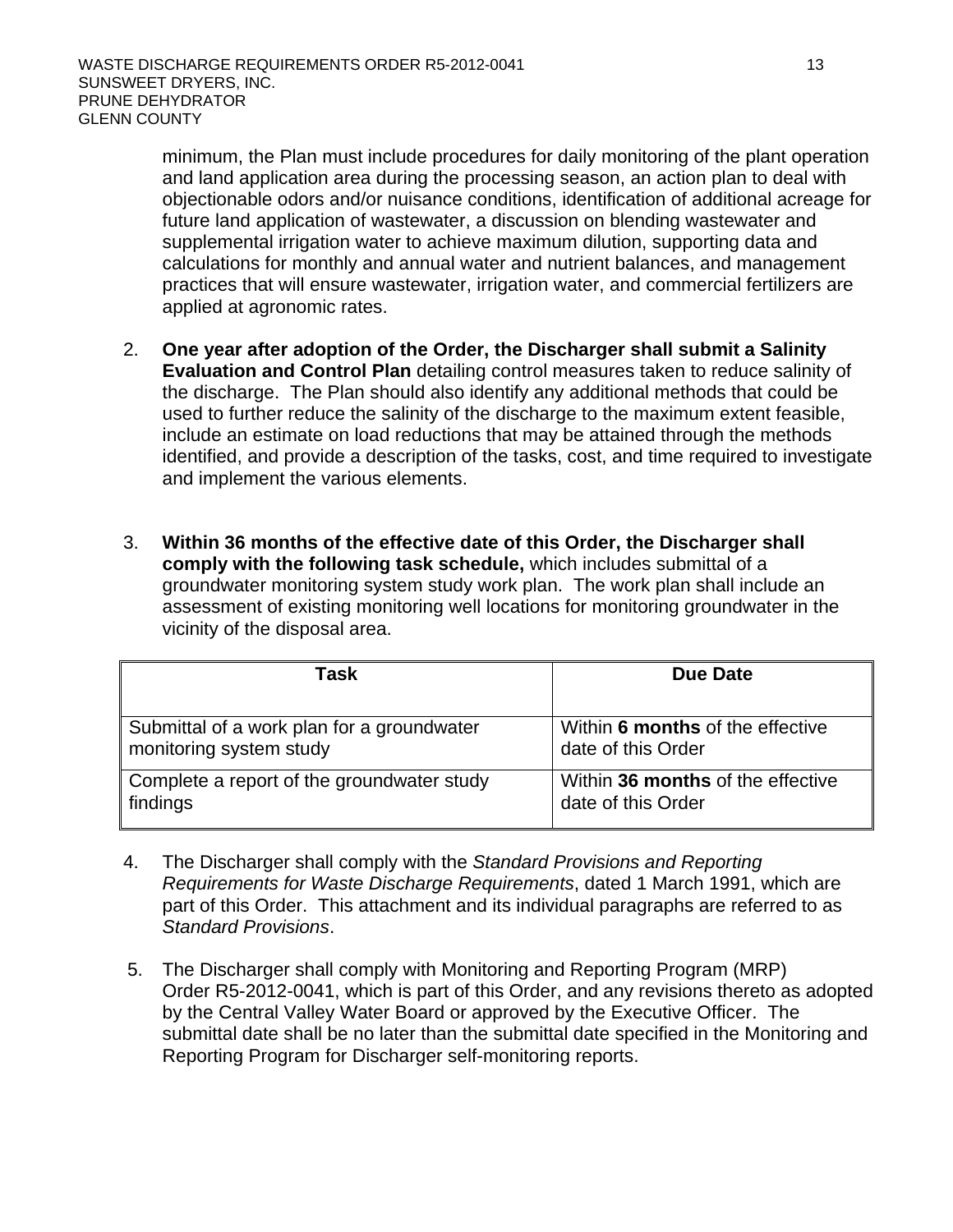minimum, the Plan must include procedures for daily monitoring of the plant operation and land application area during the processing season, an action plan to deal with objectionable odors and/or nuisance conditions, identification of additional acreage for future land application of wastewater, a discussion on blending wastewater and supplemental irrigation water to achieve maximum dilution, supporting data and calculations for monthly and annual water and nutrient balances, and management practices that will ensure wastewater, irrigation water, and commercial fertilizers are applied at agronomic rates.

- 2. **One year after adoption of the Order, the Discharger shall submit a Salinity Evaluation and Control Plan** detailing control measures taken to reduce salinity of the discharge. The Plan should also identify any additional methods that could be used to further reduce the salinity of the discharge to the maximum extent feasible, include an estimate on load reductions that may be attained through the methods identified, and provide a description of the tasks, cost, and time required to investigate and implement the various elements.
- 3. **Within 36 months of the effective date of this Order, the Discharger shall comply with the following task schedule,** which includes submittal of a groundwater monitoring system study work plan. The work plan shall include an assessment of existing monitoring well locations for monitoring groundwater in the vicinity of the disposal area.

| Task                                       | Due Date                          |
|--------------------------------------------|-----------------------------------|
| Submittal of a work plan for a groundwater | Within 6 months of the effective  |
| monitoring system study                    | date of this Order                |
| Complete a report of the groundwater study | Within 36 months of the effective |
| findings                                   | date of this Order                |

- 4. The Discharger shall comply with the *Standard Provisions and Reporting Requirements for Waste Discharge Requirements*, dated 1 March 1991, which are part of this Order. This attachment and its individual paragraphs are referred to as *Standard Provisions*.
- 5. The Discharger shall comply with Monitoring and Reporting Program (MRP) Order R5-2012-0041, which is part of this Order, and any revisions thereto as adopted by the Central Valley Water Board or approved by the Executive Officer. The submittal date shall be no later than the submittal date specified in the Monitoring and Reporting Program for Discharger self-monitoring reports.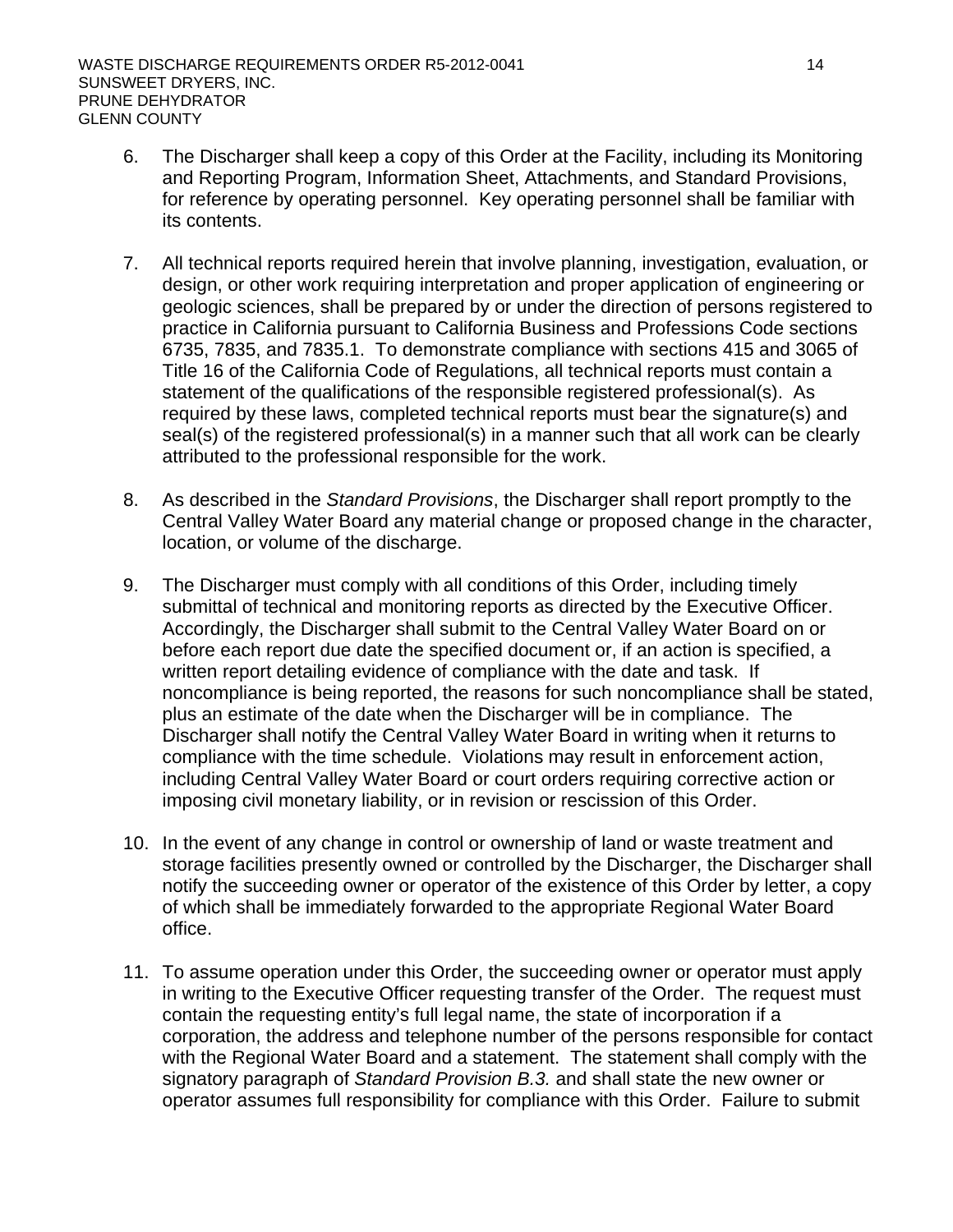- 6. The Discharger shall keep a copy of this Order at the Facility, including its Monitoring and Reporting Program, Information Sheet, Attachments, and Standard Provisions, for reference by operating personnel. Key operating personnel shall be familiar with its contents.
- 7. All technical reports required herein that involve planning, investigation, evaluation, or design, or other work requiring interpretation and proper application of engineering or geologic sciences, shall be prepared by or under the direction of persons registered to practice in California pursuant to California Business and Professions Code sections 6735, 7835, and 7835.1. To demonstrate compliance with sections 415 and 3065 of Title 16 of the California Code of Regulations, all technical reports must contain a statement of the qualifications of the responsible registered professional(s). As required by these laws, completed technical reports must bear the signature(s) and seal(s) of the registered professional(s) in a manner such that all work can be clearly attributed to the professional responsible for the work.
- 8. As described in the *Standard Provisions*, the Discharger shall report promptly to the Central Valley Water Board any material change or proposed change in the character, location, or volume of the discharge.
- 9. The Discharger must comply with all conditions of this Order, including timely submittal of technical and monitoring reports as directed by the Executive Officer. Accordingly, the Discharger shall submit to the Central Valley Water Board on or before each report due date the specified document or, if an action is specified, a written report detailing evidence of compliance with the date and task. If noncompliance is being reported, the reasons for such noncompliance shall be stated, plus an estimate of the date when the Discharger will be in compliance. The Discharger shall notify the Central Valley Water Board in writing when it returns to compliance with the time schedule. Violations may result in enforcement action, including Central Valley Water Board or court orders requiring corrective action or imposing civil monetary liability, or in revision or rescission of this Order.
- 10. In the event of any change in control or ownership of land or waste treatment and storage facilities presently owned or controlled by the Discharger, the Discharger shall notify the succeeding owner or operator of the existence of this Order by letter, a copy of which shall be immediately forwarded to the appropriate Regional Water Board office.
- 11. To assume operation under this Order, the succeeding owner or operator must apply in writing to the Executive Officer requesting transfer of the Order. The request must contain the requesting entity's full legal name, the state of incorporation if a corporation, the address and telephone number of the persons responsible for contact with the Regional Water Board and a statement. The statement shall comply with the signatory paragraph of *Standard Provision B.3.* and shall state the new owner or operator assumes full responsibility for compliance with this Order. Failure to submit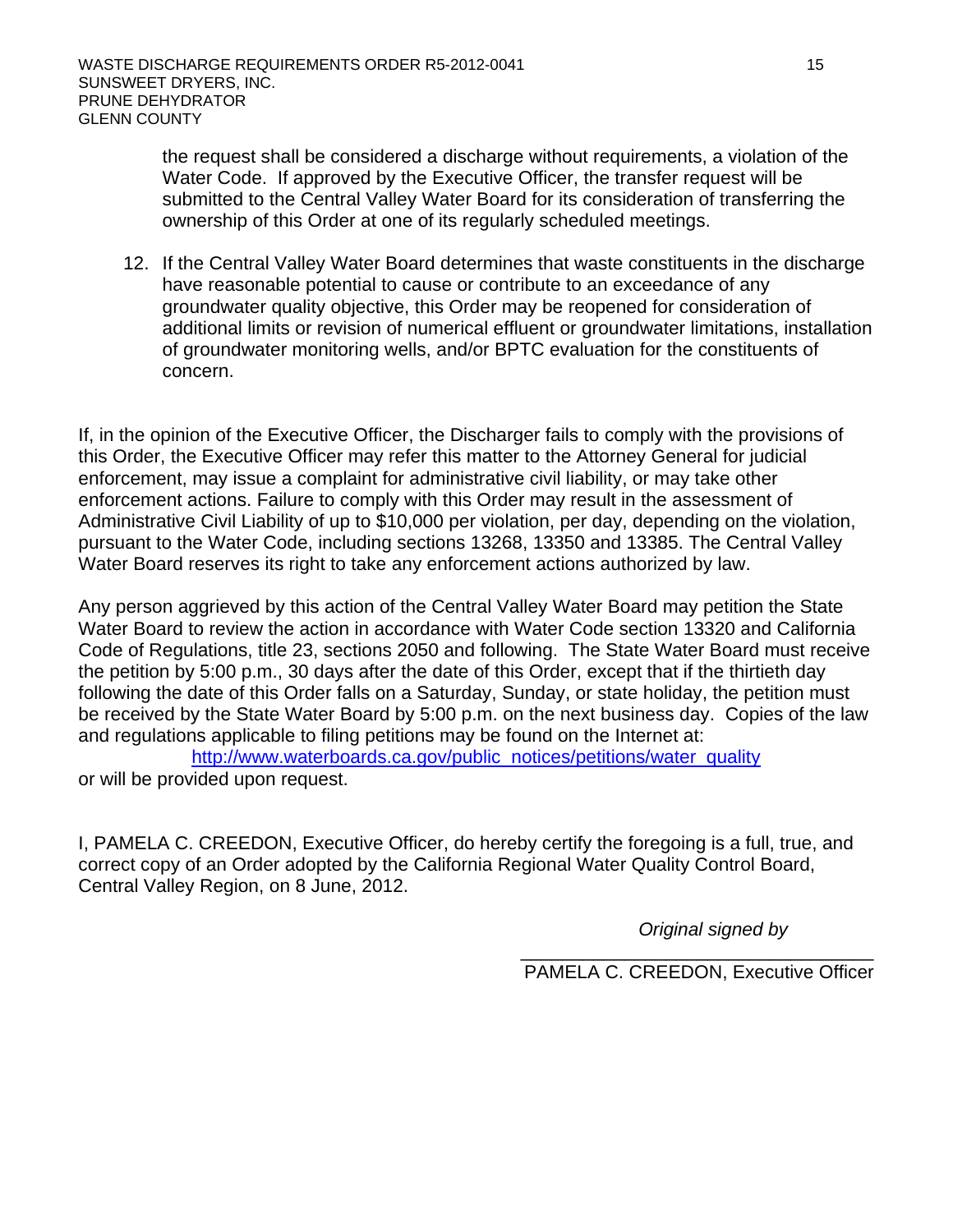the request shall be considered a discharge without requirements, a violation of the Water Code. If approved by the Executive Officer, the transfer request will be submitted to the Central Valley Water Board for its consideration of transferring the ownership of this Order at one of its regularly scheduled meetings.

12. If the Central Valley Water Board determines that waste constituents in the discharge have reasonable potential to cause or contribute to an exceedance of any groundwater quality objective, this Order may be reopened for consideration of additional limits or revision of numerical effluent or groundwater limitations, installation of groundwater monitoring wells, and/or BPTC evaluation for the constituents of concern.

If, in the opinion of the Executive Officer, the Discharger fails to comply with the provisions of this Order, the Executive Officer may refer this matter to the Attorney General for judicial enforcement, may issue a complaint for administrative civil liability, or may take other enforcement actions. Failure to comply with this Order may result in the assessment of Administrative Civil Liability of up to \$10,000 per violation, per day, depending on the violation, pursuant to the Water Code, including sections 13268, 13350 and 13385. The Central Valley Water Board reserves its right to take any enforcement actions authorized by law.

Any person aggrieved by this action of the Central Valley Water Board may petition the State Water Board to review the action in accordance with Water Code section 13320 and California Code of Regulations, title 23, sections 2050 and following. The State Water Board must receive the petition by 5:00 p.m., 30 days after the date of this Order, except that if the thirtieth day following the date of this Order falls on a Saturday, Sunday, or state holiday, the petition must be received by the State Water Board by 5:00 p.m. on the next business day. Copies of the law and regulations applicable to filing petitions may be found on the Internet at:

http://www.waterboards.ca.gov/public\_notices/petitions/water\_quality or will be provided upon request.

I, PAMELA C. CREEDON, Executive Officer, do hereby certify the foregoing is a full, true, and correct copy of an Order adopted by the California Regional Water Quality Control Board, Central Valley Region, on 8 June, 2012.

*Original signed by*

\_\_\_\_\_\_\_\_\_\_\_\_\_\_\_\_\_\_\_\_\_\_\_\_\_\_\_\_\_\_\_\_\_\_ PAMELA C. CREEDON, Executive Officer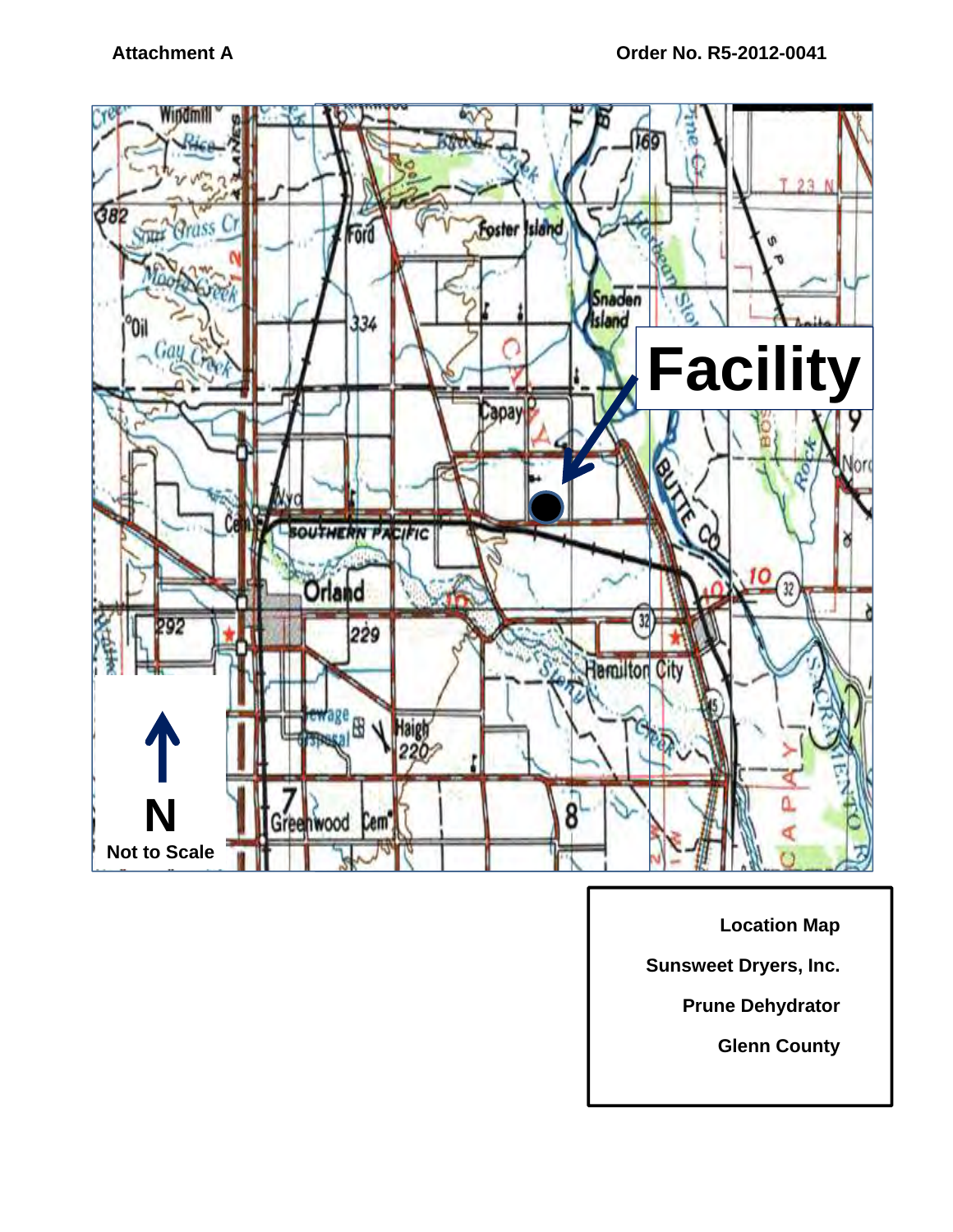

**Location Map** 

**Sunsweet Dryers, Inc.** 

**Prune Dehydrator** 

**Glenn County**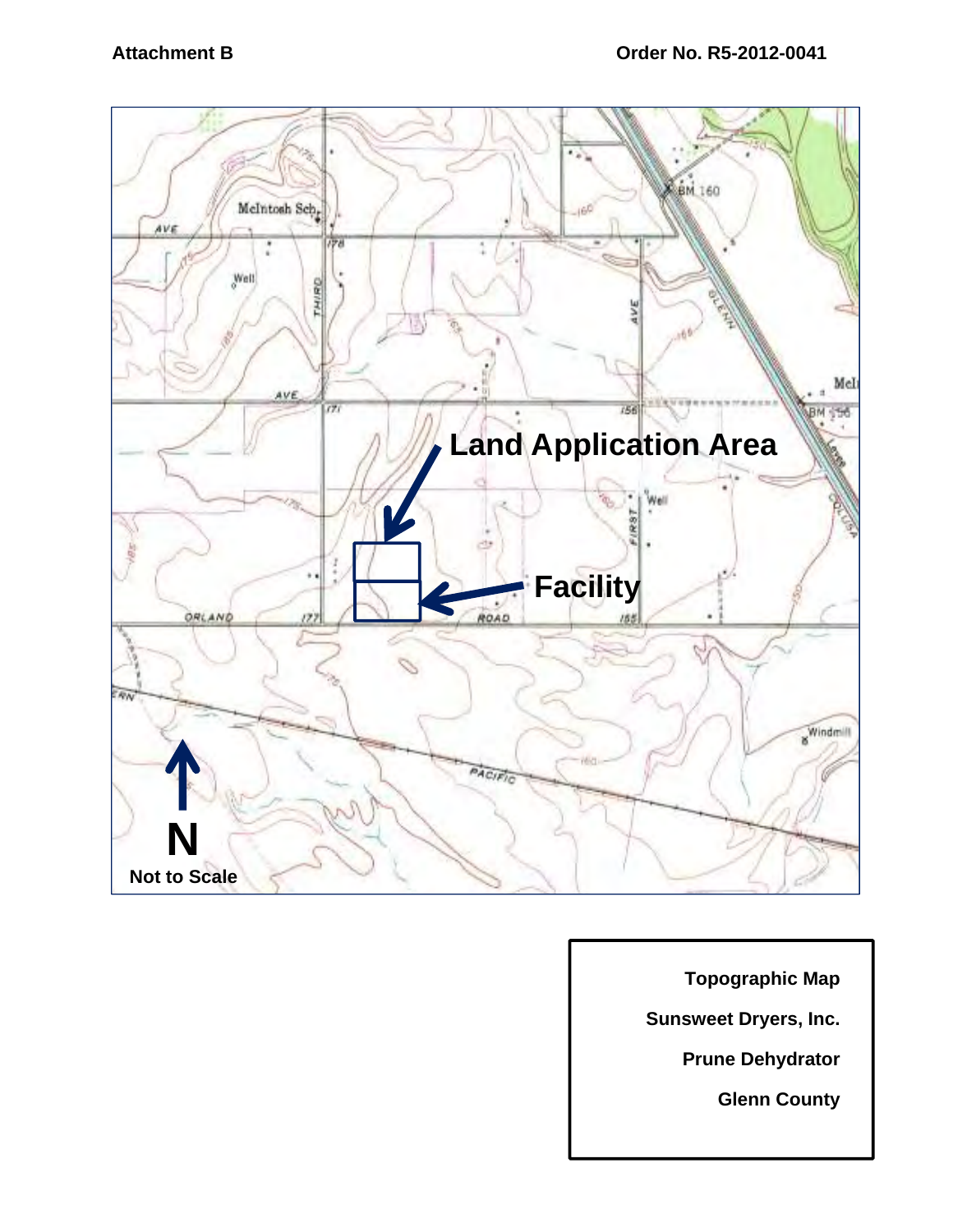

**Topographic Map** 

**Sunsweet Dryers, Inc.** 

**Prune Dehydrator** 

**Glenn County**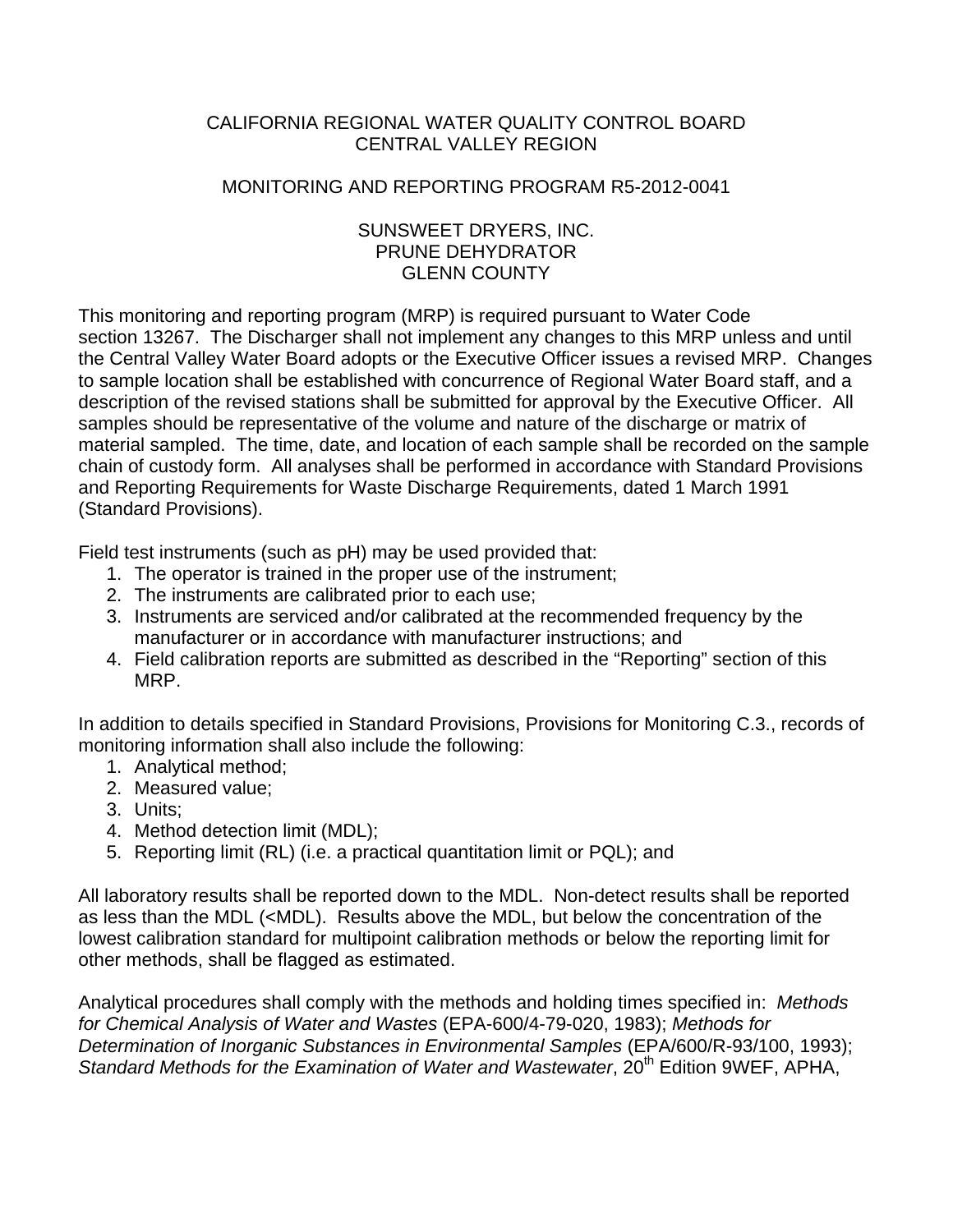# CALIFORNIA REGIONAL WATER QUALITY CONTROL BOARD CENTRAL VALLEY REGION

### MONITORING AND REPORTING PROGRAM R5-2012-0041

### SUNSWEET DRYERS, INC. PRUNE DEHYDRATOR GLENN COUNTY

This monitoring and reporting program (MRP) is required pursuant to Water Code section 13267. The Discharger shall not implement any changes to this MRP unless and until the Central Valley Water Board adopts or the Executive Officer issues a revised MRP. Changes to sample location shall be established with concurrence of Regional Water Board staff, and a description of the revised stations shall be submitted for approval by the Executive Officer. All samples should be representative of the volume and nature of the discharge or matrix of material sampled. The time, date, and location of each sample shall be recorded on the sample chain of custody form. All analyses shall be performed in accordance with Standard Provisions and Reporting Requirements for Waste Discharge Requirements, dated 1 March 1991 (Standard Provisions).

Field test instruments (such as pH) may be used provided that:

- 1. The operator is trained in the proper use of the instrument;
- 2. The instruments are calibrated prior to each use;
- 3. Instruments are serviced and/or calibrated at the recommended frequency by the manufacturer or in accordance with manufacturer instructions; and
- 4. Field calibration reports are submitted as described in the "Reporting" section of this MRP.

In addition to details specified in Standard Provisions, Provisions for Monitoring C.3., records of monitoring information shall also include the following:

- 1. Analytical method;
- 2. Measured value;
- 3. Units;
- 4. Method detection limit (MDL);
- 5. Reporting limit (RL) (i.e. a practical quantitation limit or PQL); and

All laboratory results shall be reported down to the MDL. Non-detect results shall be reported as less than the MDL (<MDL). Results above the MDL, but below the concentration of the lowest calibration standard for multipoint calibration methods or below the reporting limit for other methods, shall be flagged as estimated.

Analytical procedures shall comply with the methods and holding times specified in: *Methods for Chemical Analysis of Water and Wastes* (EPA-600/4-79-020, 1983); *Methods for Determination of Inorganic Substances in Environmental Samples* (EPA/600/R-93/100, 1993); Standard Methods for the Examination of Water and Wastewater, 20<sup>th</sup> Edition 9WEF, APHA,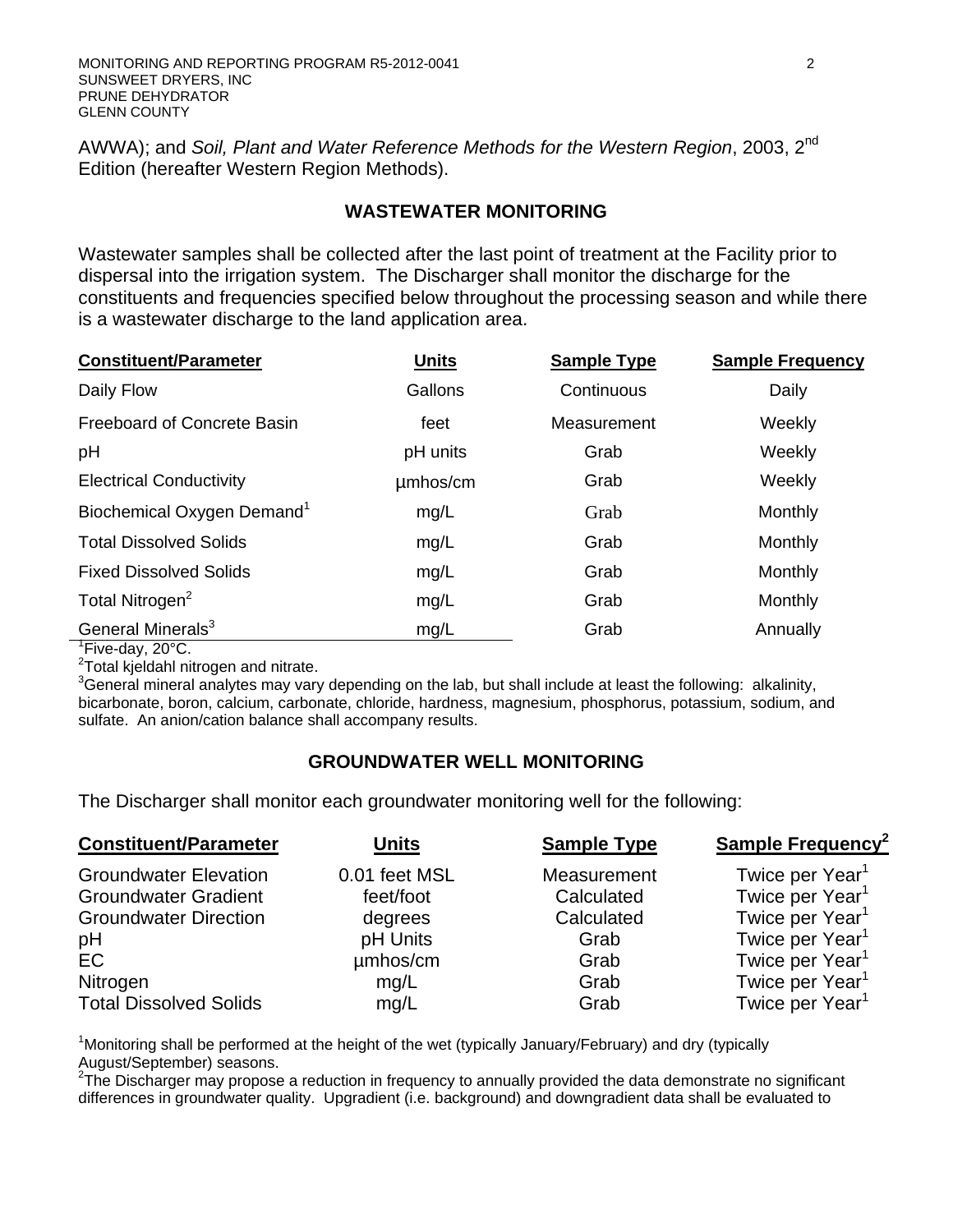AWWA); and *Soil, Plant and Water Reference Methods for the Western Region*, 2003, 2nd Edition (hereafter Western Region Methods).

## **WASTEWATER MONITORING**

Wastewater samples shall be collected after the last point of treatment at the Facility prior to dispersal into the irrigation system. The Discharger shall monitor the discharge for the constituents and frequencies specified below throughout the processing season and while there is a wastewater discharge to the land application area.

| <b>Constituent/Parameter</b>           | <b>Units</b> | <b>Sample Type</b> | <b>Sample Frequency</b> |
|----------------------------------------|--------------|--------------------|-------------------------|
| Daily Flow                             | Gallons      | Continuous         | Daily                   |
| Freeboard of Concrete Basin            | feet         | Measurement        | Weekly                  |
| pH                                     | pH units     | Grab               | Weekly                  |
| <b>Electrical Conductivity</b>         | umhos/cm     | Grab               | Weekly                  |
| Biochemical Oxygen Demand <sup>1</sup> | mg/L         | Grab               | Monthly                 |
| <b>Total Dissolved Solids</b>          | mg/L         | Grab               | <b>Monthly</b>          |
| <b>Fixed Dissolved Solids</b>          | mg/L         | Grab               | <b>Monthly</b>          |
| Total Nitrogen <sup>2</sup>            | mg/L         | Grab               | Monthly                 |
| General Minerals <sup>3</sup>          | mg/L         | Grab               | Annually                |

<sup>1</sup>Five-day, 20°C.

<sup>2</sup>Total kjeldahl nitrogen and nitrate.

 $3$ General mineral analytes may vary depending on the lab, but shall include at least the following: alkalinity, bicarbonate, boron, calcium, carbonate, chloride, hardness, magnesium, phosphorus, potassium, sodium, and sulfate. An anion/cation balance shall accompany results.

### **GROUNDWATER WELL MONITORING**

The Discharger shall monitor each groundwater monitoring well for the following:

| <b>Constituent/Parameter</b>                                                                                        | <b>Units</b>                                                          | <b>Sample Type</b>                                              | <b>Sample Frequency<sup>2</sup></b>                                                                                                                                                    |  |
|---------------------------------------------------------------------------------------------------------------------|-----------------------------------------------------------------------|-----------------------------------------------------------------|----------------------------------------------------------------------------------------------------------------------------------------------------------------------------------------|--|
| <b>Groundwater Elevation</b><br><b>Groundwater Gradient</b><br><b>Groundwater Direction</b><br>pH<br>EC<br>Nitrogen | 0.01 feet MSL<br>feet/foot<br>degrees<br>pH Units<br>umhos/cm<br>mg/L | Measurement<br>Calculated<br>Calculated<br>Grab<br>Grab<br>Grab | Twice per Year <sup>1</sup><br>Twice per Year <sup>1</sup><br>Twice per Year <sup>1</sup><br>Twice per Year <sup>1</sup><br>Twice per Year <sup>1</sup><br>Twice per Year <sup>1</sup> |  |
| <b>Total Dissolved Solids</b>                                                                                       | mg/L                                                                  | Grab                                                            | Twice per Year <sup>1</sup>                                                                                                                                                            |  |

<sup>1</sup>Monitoring shall be performed at the height of the wet (typically January/February) and dry (typically August/September) seasons.

 $27$ he Discharger may propose a reduction in frequency to annually provided the data demonstrate no significant differences in groundwater quality. Upgradient (i.e. background) and downgradient data shall be evaluated to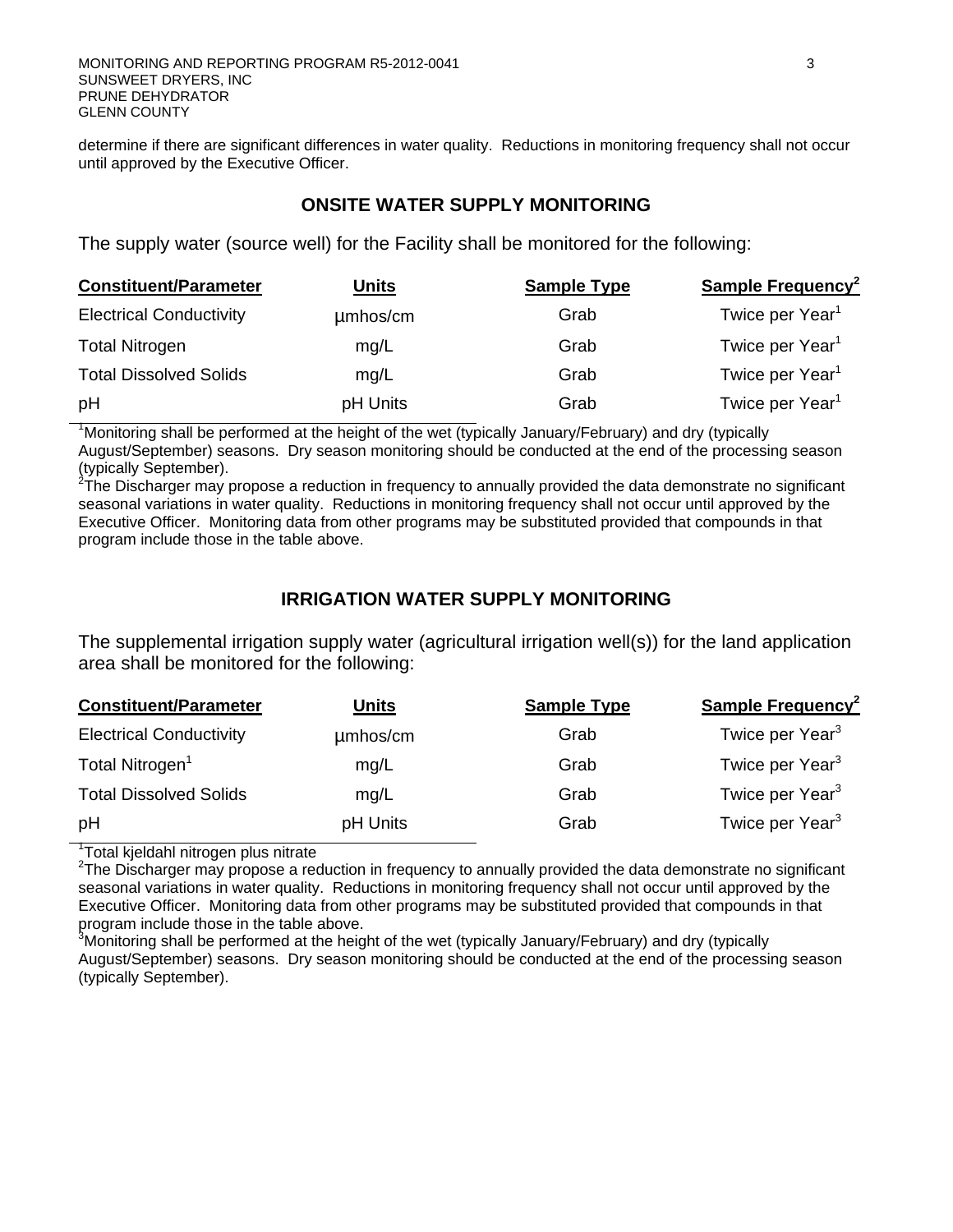determine if there are significant differences in water quality. Reductions in monitoring frequency shall not occur until approved by the Executive Officer.

#### **ONSITE WATER SUPPLY MONITORING**

The supply water (source well) for the Facility shall be monitored for the following:

| <b>Constituent/Parameter</b>   | Units    | <b>Sample Type</b> | <b>Sample Frequency<sup>2</sup></b> |
|--------------------------------|----------|--------------------|-------------------------------------|
| <b>Electrical Conductivity</b> | umhos/cm | Grab               | Twice per Year <sup>1</sup>         |
| <b>Total Nitrogen</b>          | mg/L     | Grab               | Twice per Year <sup>1</sup>         |
| <b>Total Dissolved Solids</b>  | mg/L     | Grab               | Twice per Year <sup>1</sup>         |
| pH                             | pH Units | Grab               | Twice per Year <sup>1</sup>         |

<sup>1</sup>Monitoring shall be performed at the height of the wet (typically January/February) and dry (typically August/September) seasons. Dry season monitoring should be conducted at the end of the processing season

(typically September).<br><sup>2</sup>The Discharger may propose a reduction in frequency to annually provided the data demonstrate no significant seasonal variations in water quality. Reductions in monitoring frequency shall not occur until approved by the Executive Officer. Monitoring data from other programs may be substituted provided that compounds in that program include those in the table above.

### **IRRIGATION WATER SUPPLY MONITORING**

The supplemental irrigation supply water (agricultural irrigation well(s)) for the land application area shall be monitored for the following:

| <b>Constituent/Parameter</b>   | <u>Units</u> | <b>Sample Type</b> | <b>Sample Frequency<sup>2</sup></b> |
|--------------------------------|--------------|--------------------|-------------------------------------|
| <b>Electrical Conductivity</b> | umhos/cm     | Grab               | Twice per Year <sup>3</sup>         |
| Total Nitrogen <sup>1</sup>    | mg/L         | Grab               | Twice per Year <sup>3</sup>         |
| <b>Total Dissolved Solids</b>  | mg/L         | Grab               | Twice per Year <sup>3</sup>         |
| pH                             | pH Units     | Grab               | Twice per Year <sup>3</sup>         |

<sup>1</sup>Total kjeldahl nitrogen plus nitrate

<sup>2</sup>The Discharger may propose a reduction in frequency to annually provided the data demonstrate no significant seasonal variations in water quality. Reductions in monitoring frequency shall not occur until approved by the Executive Officer. Monitoring data from other programs may be substituted provided that compounds in that program include those in the table above.

<sup>3</sup>Monitoring shall be performed at the height of the wet (typically January/February) and dry (typically August/September) seasons. Dry season monitoring should be conducted at the end of the processing season (typically September).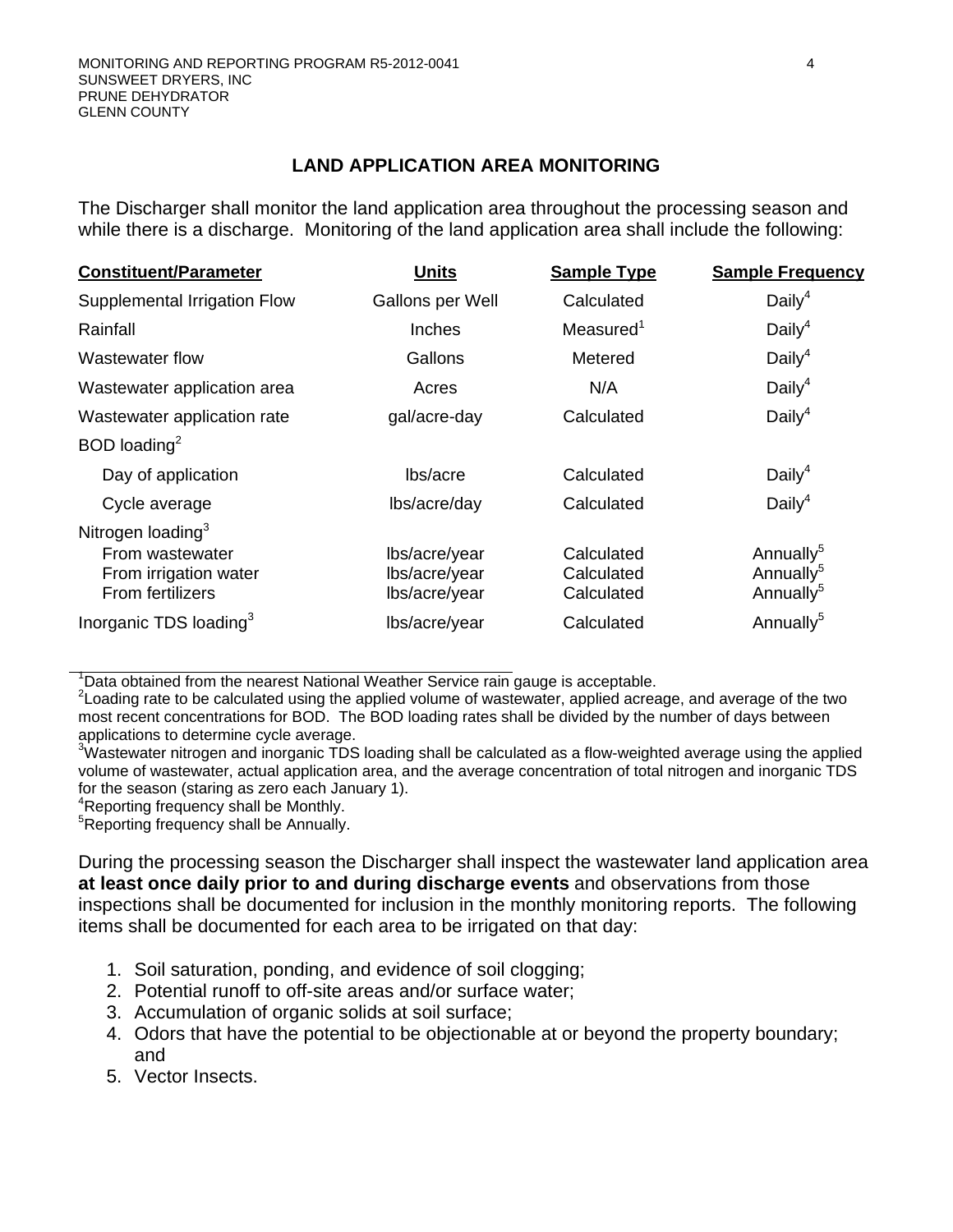## **LAND APPLICATION AREA MONITORING**

The Discharger shall monitor the land application area throughout the processing season and while there is a discharge. Monitoring of the land application area shall include the following:

| <b>Constituent/Parameter</b>                                                                  | <b>Units</b>                                    | <b>Sample Type</b>                     | <b>Sample Frequency</b>                                                 |
|-----------------------------------------------------------------------------------------------|-------------------------------------------------|----------------------------------------|-------------------------------------------------------------------------|
| Supplemental Irrigation Flow                                                                  | Gallons per Well                                | Calculated                             | Daily <sup>4</sup>                                                      |
| Rainfall                                                                                      | Inches                                          | Measured <sup>1</sup>                  | Daily <sup>4</sup>                                                      |
| Wastewater flow                                                                               | Gallons                                         | Metered                                | Daily <sup>4</sup>                                                      |
| Wastewater application area                                                                   | Acres                                           | N/A                                    | Daily <sup>4</sup>                                                      |
| Wastewater application rate                                                                   | gal/acre-day                                    | Calculated                             | Daily <sup>4</sup>                                                      |
| BOD loading $^2$                                                                              |                                                 |                                        |                                                                         |
| Day of application                                                                            | lbs/acre                                        | Calculated                             | Daily <sup>4</sup>                                                      |
| Cycle average                                                                                 | lbs/acre/day                                    | Calculated                             | Daily <sup>4</sup>                                                      |
| Nitrogen loading <sup>3</sup><br>From wastewater<br>From irrigation water<br>From fertilizers | lbs/acre/year<br>lbs/acre/year<br>lbs/acre/year | Calculated<br>Calculated<br>Calculated | Annually <sup>5</sup><br>Annually <sup>5</sup><br>Annually <sup>5</sup> |
| Inorganic TDS loading <sup>3</sup>                                                            | lbs/acre/year                                   | Calculated                             | Annually <sup>5</sup>                                                   |

<sup>1</sup>Data obtained from the nearest National Weather Service rain gauge is acceptable.

 $2$ Loading rate to be calculated using the applied volume of wastewater, applied acreage, and average of the two most recent concentrations for BOD. The BOD loading rates shall be divided by the number of days between applications to determine cycle average.

 $3$ Wastewater nitrogen and inorganic TDS loading shall be calculated as a flow-weighted average using the applied volume of wastewater, actual application area, and the average concentration of total nitrogen and inorganic TDS for the season (staring as zero each January 1).

4 Reporting frequency shall be Monthly.

<sup>5</sup>Reporting frequency shall be Annually.

During the processing season the Discharger shall inspect the wastewater land application area **at least once daily prior to and during discharge events** and observations from those inspections shall be documented for inclusion in the monthly monitoring reports. The following items shall be documented for each area to be irrigated on that day:

- 1. Soil saturation, ponding, and evidence of soil clogging;
- 2. Potential runoff to off-site areas and/or surface water;
- 3. Accumulation of organic solids at soil surface;
- 4. Odors that have the potential to be objectionable at or beyond the property boundary; and
- 5. Vector Insects.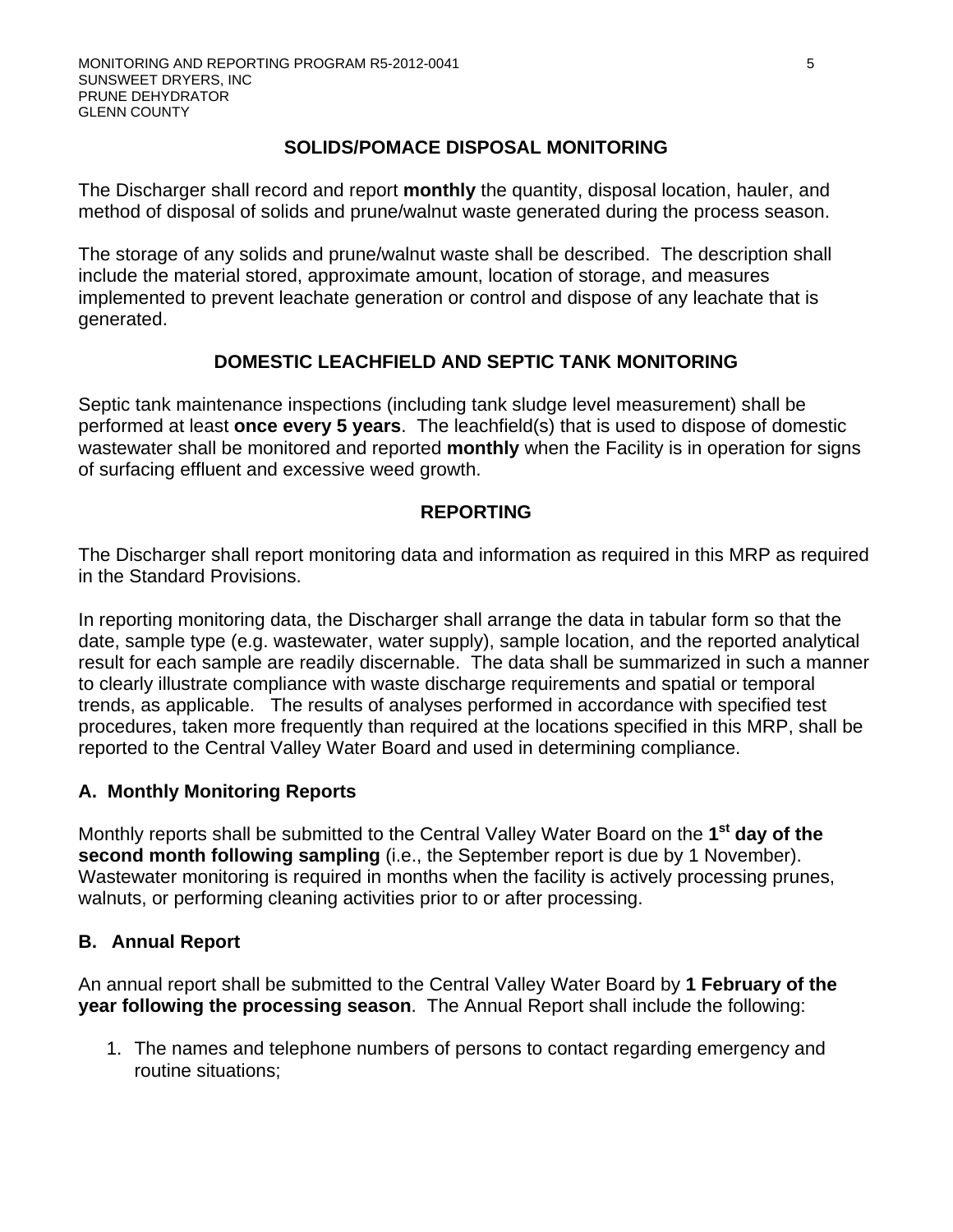# **SOLIDS/POMACE DISPOSAL MONITORING**

The Discharger shall record and report **monthly** the quantity, disposal location, hauler, and method of disposal of solids and prune/walnut waste generated during the process season.

The storage of any solids and prune/walnut waste shall be described. The description shall include the material stored, approximate amount, location of storage, and measures implemented to prevent leachate generation or control and dispose of any leachate that is generated.

# **DOMESTIC LEACHFIELD AND SEPTIC TANK MONITORING**

Septic tank maintenance inspections (including tank sludge level measurement) shall be performed at least **once every 5 years**. The leachfield(s) that is used to dispose of domestic wastewater shall be monitored and reported **monthly** when the Facility is in operation for signs of surfacing effluent and excessive weed growth.

# **REPORTING**

The Discharger shall report monitoring data and information as required in this MRP as required in the Standard Provisions.

In reporting monitoring data, the Discharger shall arrange the data in tabular form so that the date, sample type (e.g. wastewater, water supply), sample location, and the reported analytical result for each sample are readily discernable. The data shall be summarized in such a manner to clearly illustrate compliance with waste discharge requirements and spatial or temporal trends, as applicable. The results of analyses performed in accordance with specified test procedures, taken more frequently than required at the locations specified in this MRP, shall be reported to the Central Valley Water Board and used in determining compliance.

# **A. Monthly Monitoring Reports**

Monthly reports shall be submitted to the Central Valley Water Board on the **1st day of the second month following sampling** (i.e., the September report is due by 1 November). Wastewater monitoring is required in months when the facility is actively processing prunes, walnuts, or performing cleaning activities prior to or after processing.

# **B. Annual Report**

An annual report shall be submitted to the Central Valley Water Board by **1 February of the year following the processing season**. The Annual Report shall include the following:

1. The names and telephone numbers of persons to contact regarding emergency and routine situations;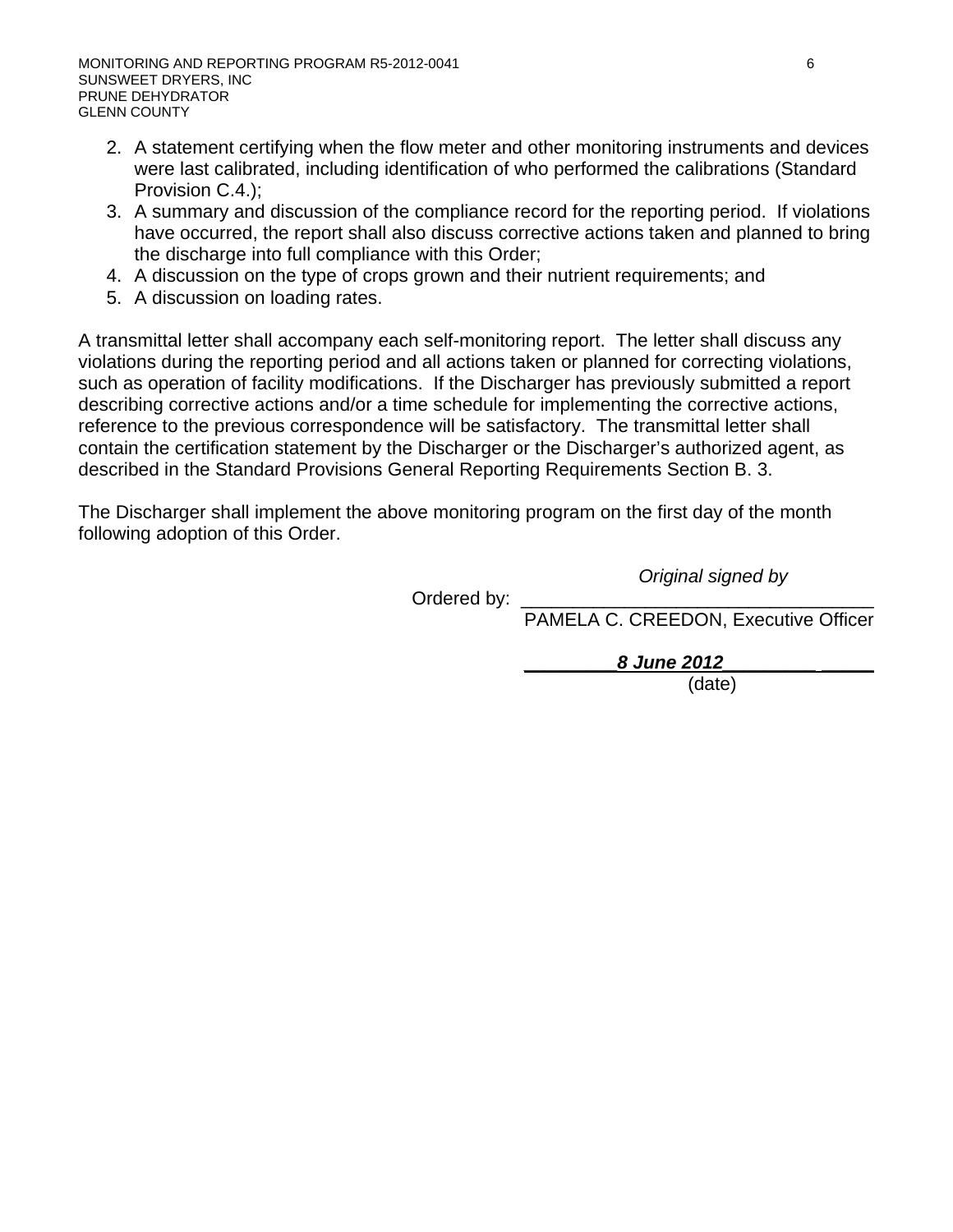- 2. A statement certifying when the flow meter and other monitoring instruments and devices were last calibrated, including identification of who performed the calibrations (Standard Provision C.4.);
- 3. A summary and discussion of the compliance record for the reporting period. If violations have occurred, the report shall also discuss corrective actions taken and planned to bring the discharge into full compliance with this Order;
- 4. A discussion on the type of crops grown and their nutrient requirements; and
- 5. A discussion on loading rates.

A transmittal letter shall accompany each self-monitoring report. The letter shall discuss any violations during the reporting period and all actions taken or planned for correcting violations, such as operation of facility modifications. If the Discharger has previously submitted a report describing corrective actions and/or a time schedule for implementing the corrective actions, reference to the previous correspondence will be satisfactory. The transmittal letter shall contain the certification statement by the Discharger or the Discharger's authorized agent, as described in the Standard Provisions General Reporting Requirements Section B. 3.

The Discharger shall implement the above monitoring program on the first day of the month following adoption of this Order.

*Original signed by*

Ordered by:

PAMELA C. CREEDON, Executive Officer

**\_\_\_\_\_\_\_\_\_***8 June 2012\_\_\_\_\_\_\_\_\_* **\_\_\_\_\_** 

(date)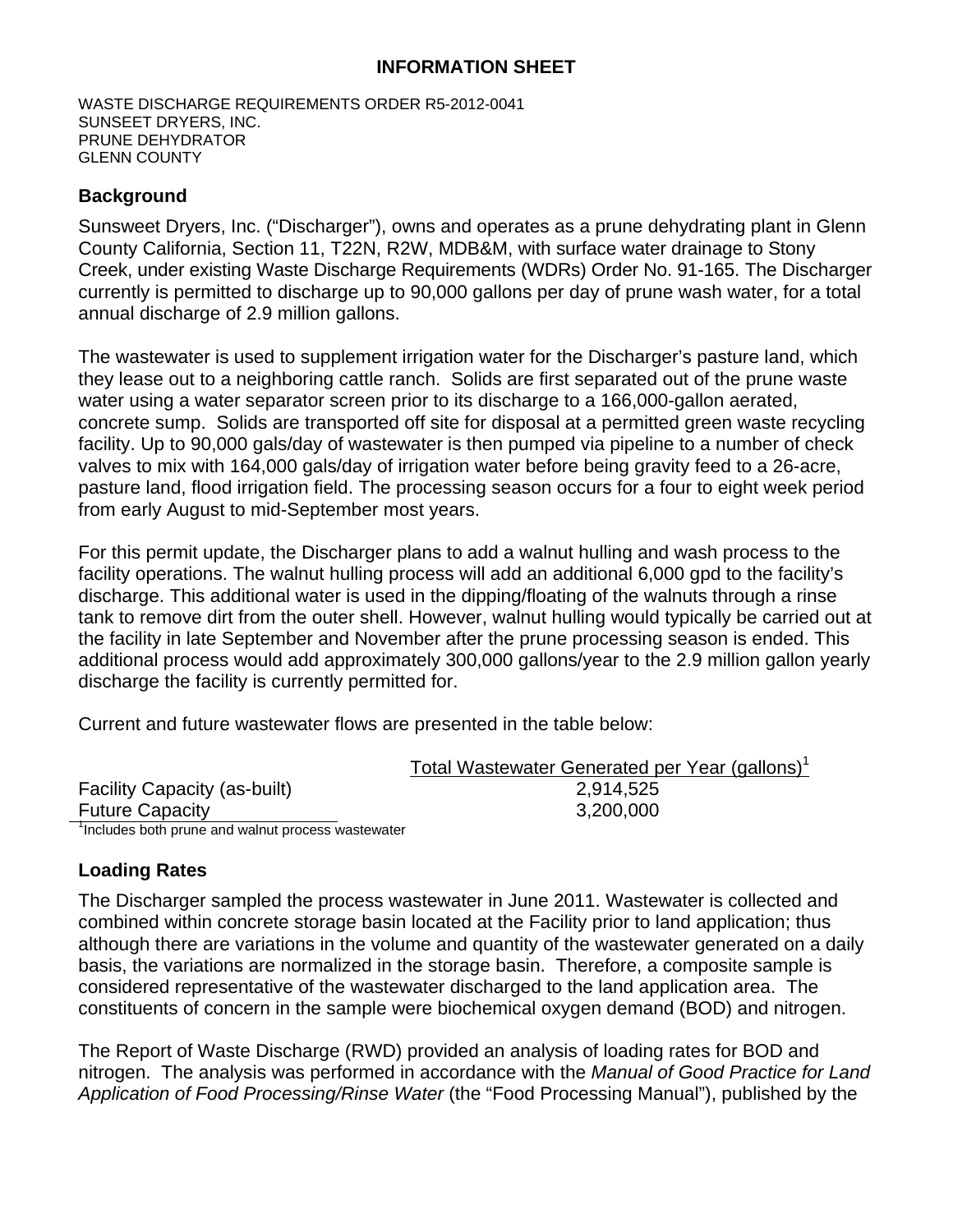## **INFORMATION SHEET**

WASTE DISCHARGE REQUIREMENTS ORDER R5-2012-0041 SUNSEET DRYERS, INC. PRUNE DEHYDRATOR GLENN COUNTY

# **Background**

Sunsweet Dryers, Inc. ("Discharger"), owns and operates as a prune dehydrating plant in Glenn County California, Section 11, T22N, R2W, MDB&M, with surface water drainage to Stony Creek, under existing Waste Discharge Requirements (WDRs) Order No. 91-165. The Discharger currently is permitted to discharge up to 90,000 gallons per day of prune wash water, for a total annual discharge of 2.9 million gallons.

The wastewater is used to supplement irrigation water for the Discharger's pasture land, which they lease out to a neighboring cattle ranch. Solids are first separated out of the prune waste water using a water separator screen prior to its discharge to a 166,000-gallon aerated, concrete sump. Solids are transported off site for disposal at a permitted green waste recycling facility. Up to 90,000 gals/day of wastewater is then pumped via pipeline to a number of check valves to mix with 164,000 gals/day of irrigation water before being gravity feed to a 26-acre, pasture land, flood irrigation field. The processing season occurs for a four to eight week period from early August to mid-September most years.

For this permit update, the Discharger plans to add a walnut hulling and wash process to the facility operations. The walnut hulling process will add an additional 6,000 gpd to the facility's discharge. This additional water is used in the dipping/floating of the walnuts through a rinse tank to remove dirt from the outer shell. However, walnut hulling would typically be carried out at the facility in late September and November after the prune processing season is ended. This additional process would add approximately 300,000 gallons/year to the 2.9 million gallon yearly discharge the facility is currently permitted for.

Current and future wastewater flows are presented in the table below:

|                                                   | Total Wastewater Generated per Year (gallons) <sup>1</sup> |
|---------------------------------------------------|------------------------------------------------------------|
| <b>Facility Capacity (as-built)</b>               | 2,914,525                                                  |
| <b>Future Capacity</b>                            | 3,200,000                                                  |
| Includes both prune and walnut process wastewater |                                                            |

# **Loading Rates**

The Discharger sampled the process wastewater in June 2011. Wastewater is collected and combined within concrete storage basin located at the Facility prior to land application; thus although there are variations in the volume and quantity of the wastewater generated on a daily basis, the variations are normalized in the storage basin. Therefore, a composite sample is considered representative of the wastewater discharged to the land application area. The constituents of concern in the sample were biochemical oxygen demand (BOD) and nitrogen.

The Report of Waste Discharge (RWD) provided an analysis of loading rates for BOD and nitrogen. The analysis was performed in accordance with the *Manual of Good Practice for Land Application of Food Processing/Rinse Water* (the "Food Processing Manual"), published by the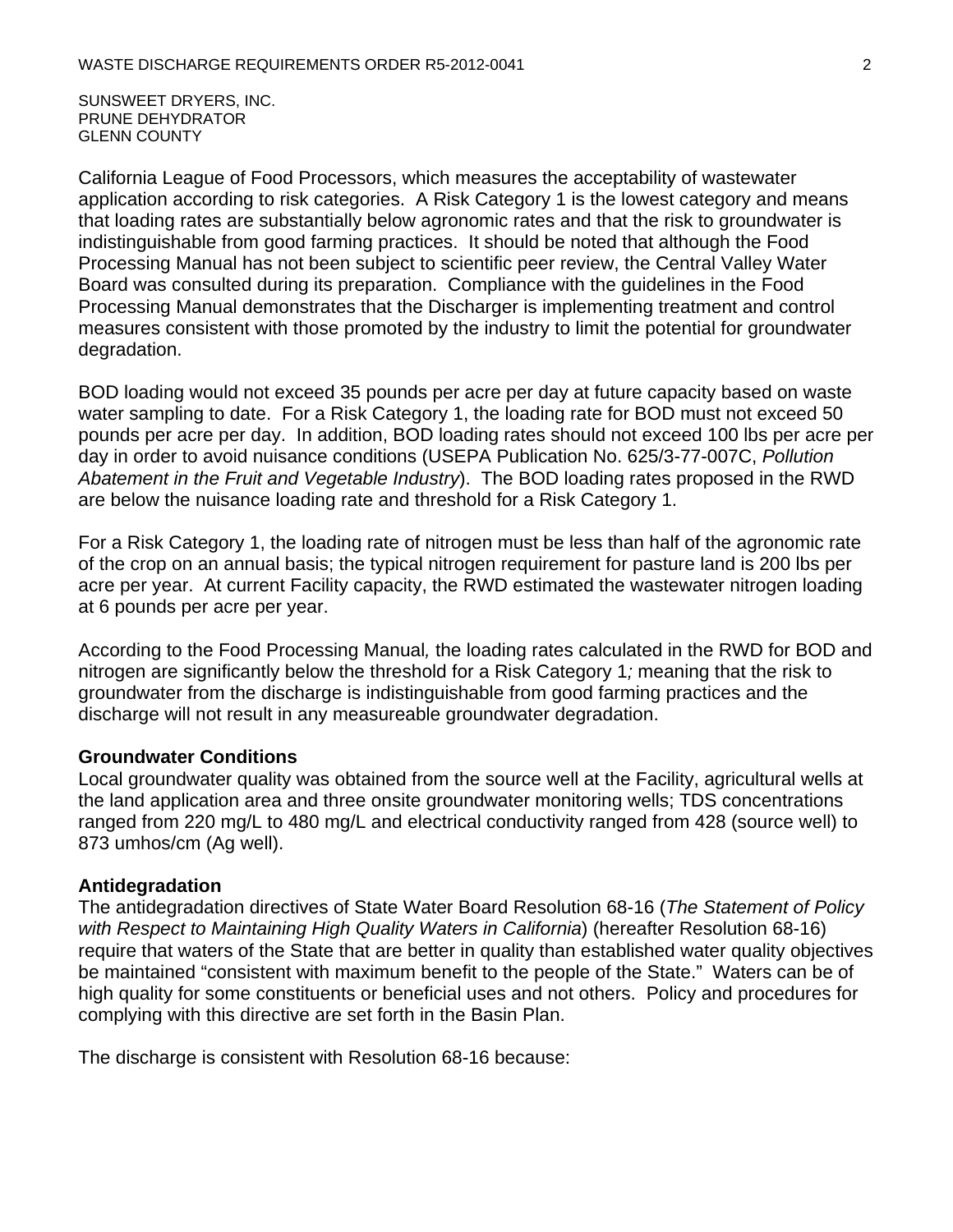SUNSWEET DRYERS, INC. PRUNE DEHYDRATOR GLENN COUNTY

California League of Food Processors, which measures the acceptability of wastewater application according to risk categories. A Risk Category 1 is the lowest category and means that loading rates are substantially below agronomic rates and that the risk to groundwater is indistinguishable from good farming practices. It should be noted that although the Food Processing Manual has not been subject to scientific peer review, the Central Valley Water Board was consulted during its preparation. Compliance with the guidelines in the Food Processing Manual demonstrates that the Discharger is implementing treatment and control measures consistent with those promoted by the industry to limit the potential for groundwater degradation.

BOD loading would not exceed 35 pounds per acre per day at future capacity based on waste water sampling to date. For a Risk Category 1, the loading rate for BOD must not exceed 50 pounds per acre per day. In addition, BOD loading rates should not exceed 100 lbs per acre per day in order to avoid nuisance conditions (USEPA Publication No. 625/3-77-007C, *Pollution Abatement in the Fruit and Vegetable Industry*). The BOD loading rates proposed in the RWD are below the nuisance loading rate and threshold for a Risk Category 1.

For a Risk Category 1, the loading rate of nitrogen must be less than half of the agronomic rate of the crop on an annual basis; the typical nitrogen requirement for pasture land is 200 lbs per acre per year. At current Facility capacity, the RWD estimated the wastewater nitrogen loading at 6 pounds per acre per year.

According to the Food Processing Manual*,* the loading rates calculated in the RWD for BOD and nitrogen are significantly below the threshold for a Risk Category 1*;* meaning that the risk to groundwater from the discharge is indistinguishable from good farming practices and the discharge will not result in any measureable groundwater degradation.

#### **Groundwater Conditions**

Local groundwater quality was obtained from the source well at the Facility, agricultural wells at the land application area and three onsite groundwater monitoring wells; TDS concentrations ranged from 220 mg/L to 480 mg/L and electrical conductivity ranged from 428 (source well) to 873 umhos/cm (Ag well).

#### **Antidegradation**

The antidegradation directives of State Water Board Resolution 68-16 (*The Statement of Policy with Respect to Maintaining High Quality Waters in California*) (hereafter Resolution 68-16) require that waters of the State that are better in quality than established water quality objectives be maintained "consistent with maximum benefit to the people of the State." Waters can be of high quality for some constituents or beneficial uses and not others. Policy and procedures for complying with this directive are set forth in the Basin Plan.

The discharge is consistent with Resolution 68-16 because: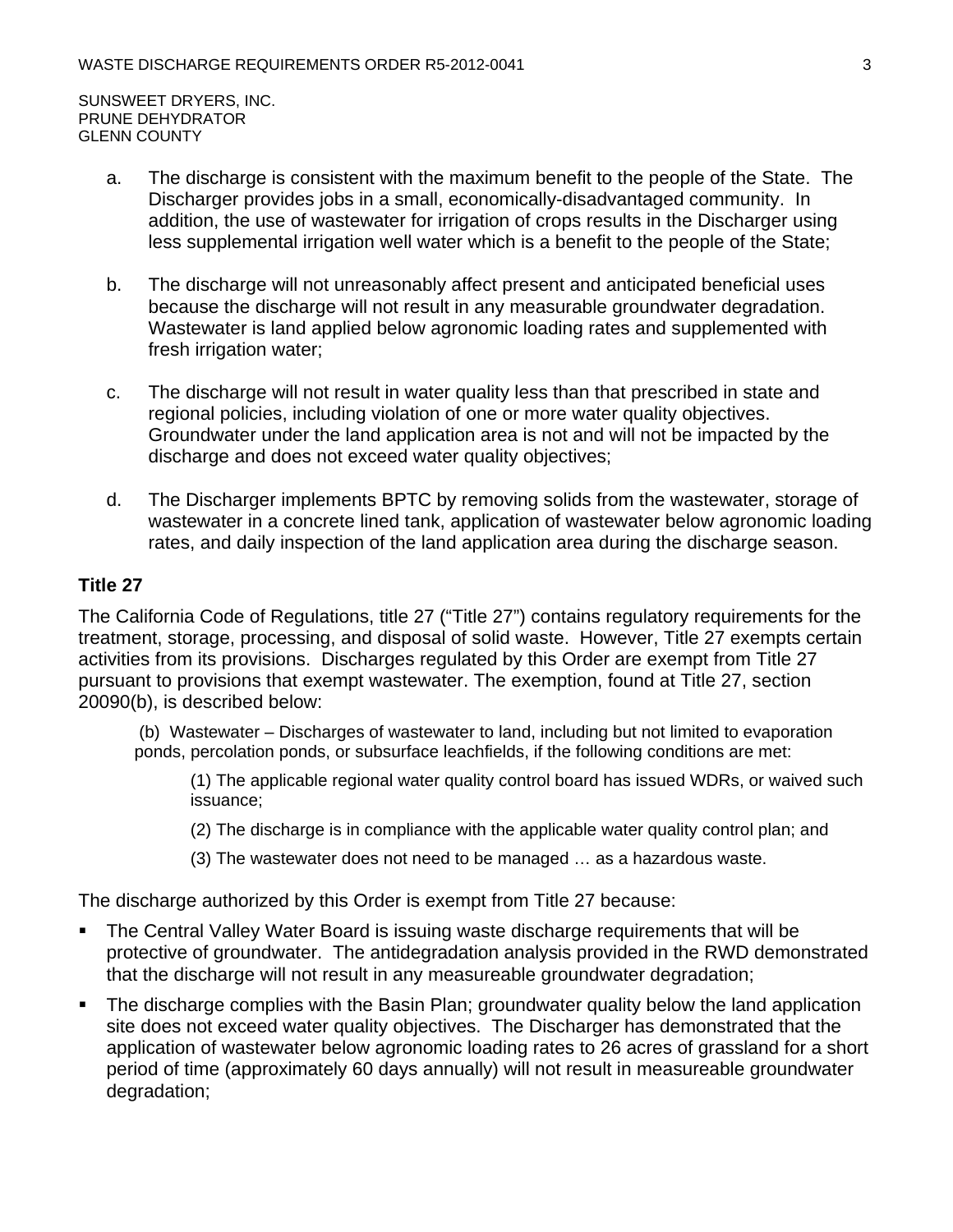SUNSWEET DRYERS, INC. PRUNE DEHYDRATOR GLENN COUNTY

- a. The discharge is consistent with the maximum benefit to the people of the State. The Discharger provides jobs in a small, economically-disadvantaged community. In addition, the use of wastewater for irrigation of crops results in the Discharger using less supplemental irrigation well water which is a benefit to the people of the State;
- b. The discharge will not unreasonably affect present and anticipated beneficial uses because the discharge will not result in any measurable groundwater degradation. Wastewater is land applied below agronomic loading rates and supplemented with fresh irrigation water;
- c. The discharge will not result in water quality less than that prescribed in state and regional policies, including violation of one or more water quality objectives. Groundwater under the land application area is not and will not be impacted by the discharge and does not exceed water quality objectives;
- d. The Discharger implements BPTC by removing solids from the wastewater, storage of wastewater in a concrete lined tank, application of wastewater below agronomic loading rates, and daily inspection of the land application area during the discharge season.

#### **Title 27**

The California Code of Regulations, title 27 ("Title 27") contains regulatory requirements for the treatment, storage, processing, and disposal of solid waste. However, Title 27 exempts certain activities from its provisions. Discharges regulated by this Order are exempt from Title 27 pursuant to provisions that exempt wastewater. The exemption, found at Title 27, section 20090(b), is described below:

 (b) Wastewater – Discharges of wastewater to land, including but not limited to evaporation ponds, percolation ponds, or subsurface leachfields, if the following conditions are met:

(1) The applicable regional water quality control board has issued WDRs, or waived such issuance;

(2) The discharge is in compliance with the applicable water quality control plan; and

(3) The wastewater does not need to be managed … as a hazardous waste.

The discharge authorized by this Order is exempt from Title 27 because:

- **The Central Valley Water Board is issuing waste discharge requirements that will be** protective of groundwater. The antidegradation analysis provided in the RWD demonstrated that the discharge will not result in any measureable groundwater degradation;
- The discharge complies with the Basin Plan; groundwater quality below the land application site does not exceed water quality objectives. The Discharger has demonstrated that the application of wastewater below agronomic loading rates to 26 acres of grassland for a short period of time (approximately 60 days annually) will not result in measureable groundwater degradation;